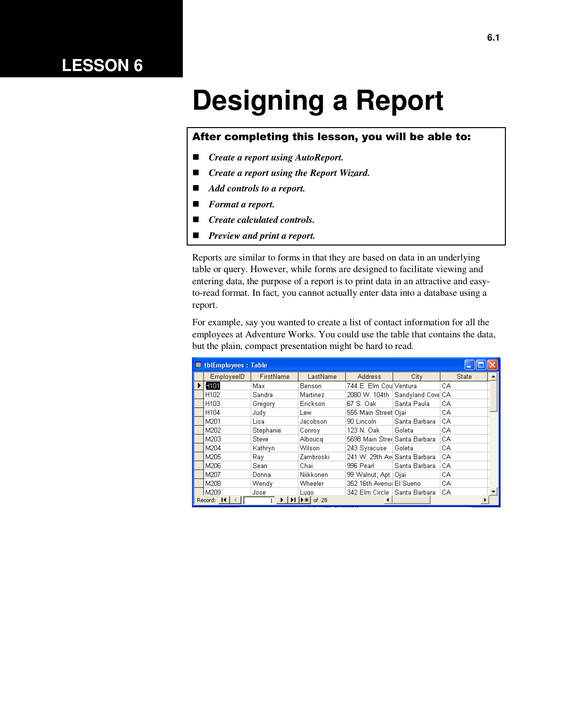## **LESSON 6**

# **Designing a Report**

#### After completing this lesson, you will be able to:

- *Create a report using AutoReport.*
- *Create a report using the Report Wizard.*
- *Add controls to a report.*
- *Format a report.*
- *Create calculated controls.*
- *Preview and print a report.*

Reports are similar to forms in that they are based on data in an underlying table or query. However, while forms are designed to facilitate viewing and entering data, the purpose of a report is to print data in an attractive and easyto-read format. In fact, you cannot actually enter data into a database using a report.

For example, say you wanted to create a list of contact information for all the employees at Adventure Works. You could use the table that contains the data, but the plain, compact presentation might be hard to read.

|   | <b>■ tblEmployees: Table</b> |           |                                                                        |                                |                   |       |  |
|---|------------------------------|-----------|------------------------------------------------------------------------|--------------------------------|-------------------|-------|--|
|   | EmployeeID                   | FirstName | LastName                                                               | <b>Address</b>                 | City              | State |  |
| ▶ | H <sub>101</sub>             | Max       | Benson                                                                 | 744 E. Elm CoulVentura         |                   | СA    |  |
|   | H <sub>102</sub>             | Sandra    | Martinez                                                               | 2080 W. 104th                  | Sandyland Cove CA |       |  |
|   | H <sub>103</sub>             | Gregory   | Erickson                                                               | 67 S. Oak                      | Santa Paula       | СA    |  |
|   | H <sub>104</sub>             | Judy      | Lew                                                                    | 555 Main Street Ojai           |                   | CA    |  |
|   | M201                         | Lisa      | Jacobson                                                               | 90 Lincoln                     | Santa Barbara     | CA    |  |
|   | M202                         | Stephanie | Conrov                                                                 | 123 N. Oak                     | Goleta            | СA    |  |
|   | M203                         | Steve     | Albouca                                                                | 5698 Main Stree Santa Barbara  |                   | CA    |  |
|   | M204                         | Kathryn   | Wilson                                                                 | 243 Syracuse                   | Goleta            | CA    |  |
|   | M205                         | Ray.      | Zambroski                                                              | 241 W. 29th Avi Santa Barbara  |                   | CA    |  |
|   | M206                         | Sean      | Chai                                                                   | 996 Pearl                      | Santa Barbara     | СA    |  |
|   | M207                         | Donna     | Niikkonen                                                              | 99 Walnut, Apt   Ojai          |                   | CA    |  |
|   | M208                         | Wendy     | Wheeler                                                                | 352 16th Avenul El Sueno       |                   | CA    |  |
|   | M209                         | Jose      | Lugo                                                                   | 342 Elm Circle   Santa Barbara |                   | СA    |  |
|   | Record: 14                   |           | $\blacktriangleright$ I $\blacktriangleright$ $\divideontimes$ I of 28 | ◀                              |                   |       |  |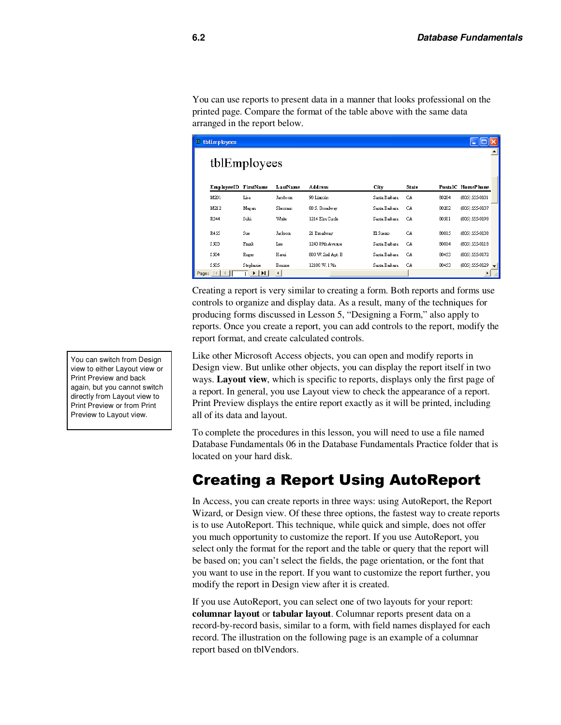You can use reports to present data in a manner that looks professional on the printed page. Compare the format of the table above with the same data arranged in the report below.

| $E$ thlEmployees     |                                                           |                        |                   |               |       |       |                   |
|----------------------|-----------------------------------------------------------|------------------------|-------------------|---------------|-------|-------|-------------------|
|                      | tblEmployees                                              |                        |                   |               |       |       |                   |
|                      |                                                           |                        |                   |               |       |       |                   |
| EmployeeID FirstName |                                                           | LastName               | <b>Address</b>    | City          | State |       | PostalC HomePhone |
| M201                 | Lisa                                                      | Jacobson               | 90 Lincoln        | Santa Barbara | CA    | 80204 | (805) 555-0101    |
| M212                 | Megan                                                     | Sherman                | 88 S. Broadway    | Santa Barbara | CA    | 80202 | (805) 555-0107    |
| R344                 | Suki                                                      | White                  | 1214 Elm Circle   | Santa Barbara | CA    | 80501 | (805) 555-0198    |
| <b>R455</b>          | Sue                                                       | Jackson                | 21 Broadway       | El Suemo      | CA    | 80015 | (805) 555-0138    |
| \$503                | Frank                                                     | Lee                    | 1243 89th Avenue  | Santa Barbara | CA    | 80014 | (805) 555-0118    |
| \$504                | Roger                                                     | Hani                   | 800 W. 2nd Apt. B | Santa Barbara | CA    | 80453 | (805) 555-0172    |
| \$505                | S tephanie                                                | Boume                  | 12100 W. 17th     | Santa Barbara | CA    | 80453 | (805) 555-0129    |
| Page:                | $\blacktriangleright$ $\mid$ $\blacktriangleright$ $\mid$ | $\left  \cdot \right $ |                   |               |       |       |                   |

Creating a report is very similar to creating a form. Both reports and forms use controls to organize and display data. As a result, many of the techniques for producing forms discussed in Lesson 5, "Designing a Form," also apply to reports. Once you create a report, you can add controls to the report, modify the report format, and create calculated controls.

Like other Microsoft Access objects, you can open and modify reports in Design view. But unlike other objects, you can display the report itself in two ways. **Layout view**, which is specific to reports, displays only the first page of a report. In general, you use Layout view to check the appearance of a report. Print Preview displays the entire report exactly as it will be printed, including all of its data and layout.

To complete the procedures in this lesson, you will need to use a file named Database Fundamentals 06 in the Database Fundamentals Practice folder that is located on your hard disk.

### Creating a Report Using AutoReport

In Access, you can create reports in three ways: using AutoReport, the Report Wizard, or Design view. Of these three options, the fastest way to create reports is to use AutoReport. This technique, while quick and simple, does not offer you much opportunity to customize the report. If you use AutoReport, you select only the format for the report and the table or query that the report will be based on; you can't select the fields, the page orientation, or the font that you want to use in the report. If you want to customize the report further, you modify the report in Design view after it is created.

If you use AutoReport, you can select one of two layouts for your report: **columnar layout** or **tabular layout**. Columnar reports present data on a record-by-record basis, similar to a form, with field names displayed for each record. The illustration on the following page is an example of a columnar report based on tblVendors.

You can switch from Design view to either Layout view or Print Preview and back again, but you cannot switch directly from Layout view to Print Preview or from Print Preview to Layout view.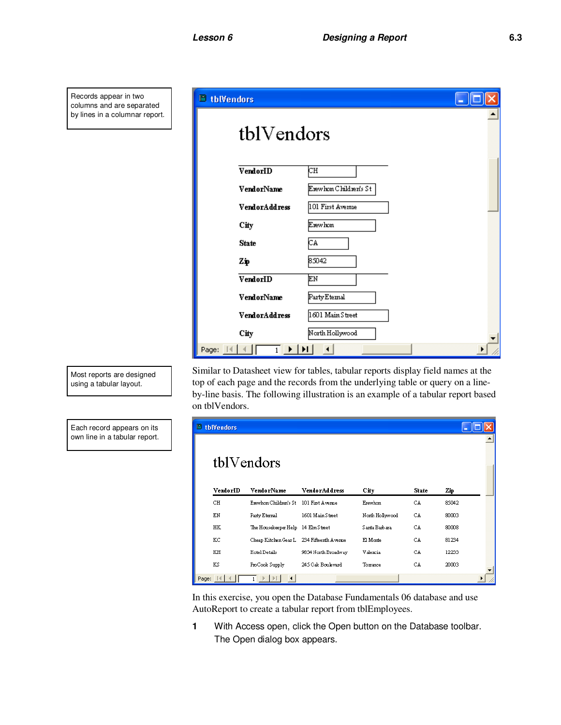Records appear in two columns and are separated by lines in a columnar report.

| <b>tblVendors</b>                                                     |                       |
|-----------------------------------------------------------------------|-----------------------|
| tblVendors                                                            |                       |
| VendorID                                                              | CН                    |
| VendorName                                                            | Erewhon Children's St |
| <b>VendorAddress</b>                                                  | 101 First Avenue      |
| City                                                                  | Erewhon               |
| <b>State</b>                                                          | СA.                   |
| Zņ                                                                    | 85042                 |
| VendorID                                                              | EМ                    |
| VendorName                                                            | Party Etemal          |
| VendorAddress                                                         | 1601 Main Street      |
| City                                                                  | North Hollywood       |
| Page: $\mathbb{N}$ $\leftarrow$<br>$\rightarrow$ [Fi]<br>$\mathbf{1}$ | $\blacktriangleleft$  |

Similar to Datasheet view for tables, tabular reports display field names at the top of each page and the records from the underlying table or query on a lineby-line basis. The following illustration is an example of a tabular report based on tblVendors.

| $E$ tblVendors |                                           |                      |                 |              |       |  |
|----------------|-------------------------------------------|----------------------|-----------------|--------------|-------|--|
|                | tblVendors                                |                      |                 |              |       |  |
| VendorID       | VendorName                                | <b>VendorAddress</b> | City            | <b>State</b> | Zщ    |  |
| CН             | Erewhon Children's St                     | 101 First Avenue     | Erewhon         | CA           | 85042 |  |
| ΕN             | Party Eternal                             | 1601 Main Street     | North Hollywood | CA           | 80003 |  |
| HК             | The Housekeeper Help 14 Elm Street        |                      | Santa Barbara   | CA           | 80008 |  |
| КC             | Cheap Kitchen Gear L 234 Fifteenth Avenue |                      | El Monte        | CA           | 81234 |  |
| KH             | Hotel Details                             | 9834 North Broadway  | Valencia        | CA           | 12233 |  |
| ΚS             | ProCook Supply                            | 245 Oak Boulevard    | Torrance        | CA           | 20003 |  |
| Page:          |                                           |                      |                 |              |       |  |

In this exercise, you open the Database Fundamentals 06 database and use AutoReport to create a tabular report from tblEmployees.

**1** With Access open, click the Open button on the Database toolbar. The Open dialog box appears.

Most reports are designed using a tabular layout.

Each record appears on its own line in a tabular report.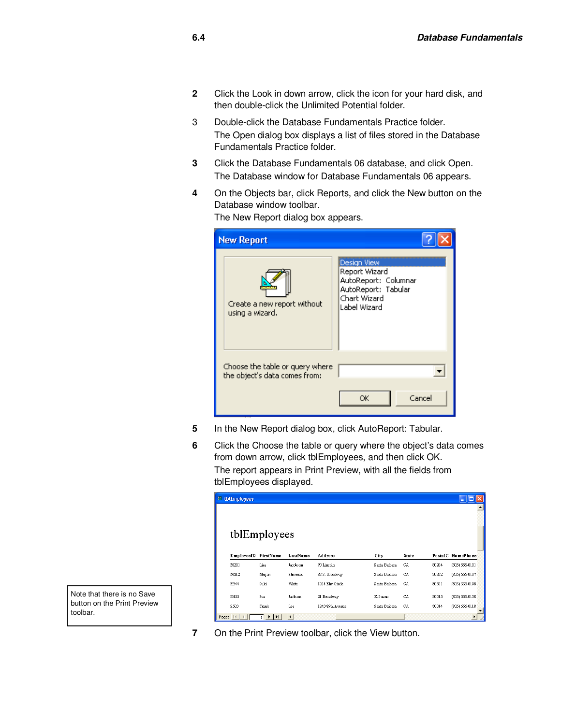- **2** Click the Look in down arrow, click the icon for your hard disk, and then double-click the Unlimited Potential folder.
- 3 Double-click the Database Fundamentals Practice folder. The Open dialog box displays a list of files stored in the Database Fundamentals Practice folder.
- **3** Click the Database Fundamentals 06 database, and click Open. The Database window for Database Fundamentals 06 appears.
- **4** On the Objects bar, click Reports, and click the New button on the Database window toolbar.

| <b>New Report</b>                                                |                                                                                                                    |
|------------------------------------------------------------------|--------------------------------------------------------------------------------------------------------------------|
| Create a new report without<br>using a wizard.                   | <b>Design View</b><br>Report Wizard<br>AutoReport: Columnar<br>AutoReport: Tabular<br>Chart Wizard<br>Label Wizard |
| Choose the table or query where<br>the object's data comes from: | Cancel<br>ОK                                                                                                       |

The New Report dialog box appears.

**5** In the New Report dialog box, click AutoReport: Tabular.

**7** On the Print Preview toolbar, click the View button.

**6** Click the Choose the table or query where the object's data comes from down arrow, click tblEmployees, and then click OK. The report appears in Print Preview, with all the fields from tblEmployees displayed.

|          | $\Box$ thlEmployees<br>н |                                                                     |                      |                  |               |       |       |                   |  |
|----------|--------------------------|---------------------------------------------------------------------|----------------------|------------------|---------------|-------|-------|-------------------|--|
|          |                          |                                                                     |                      |                  |               |       |       |                   |  |
|          |                          |                                                                     |                      |                  |               |       |       |                   |  |
|          |                          |                                                                     |                      |                  |               |       |       |                   |  |
|          |                          | tblEmployees                                                        |                      |                  |               |       |       |                   |  |
|          |                          |                                                                     |                      |                  |               |       |       |                   |  |
|          | EmployeeID FirstName     |                                                                     | LastName             | Address          | City          | State |       | PostalC HomePhone |  |
|          | M201                     | Lisa                                                                | Jacobson             | 90 Lincoln       | Santa Barbara | CA    | 80204 | (805) 555-0101    |  |
|          | M212                     | Megan                                                               | Sherman              | 88 S. Broadway   | Santa Barbara | CA    | 80202 | (805) 555-0107    |  |
|          | R344                     | Suki                                                                | White                | 1214 Elm Circle  | Santa Basbara | CA    | 80501 | (805) 555-0198    |  |
|          | <b>R455</b>              | Sue                                                                 | Jackson              | 21 Broadway      | El Suero      | CA    | 80015 | (805) 555-0138    |  |
|          | \$503                    | Frank                                                               | Lee                  | 1243 89th Avenue | Santa Barbara | CA    | 80014 | (805) 555-0118    |  |
| Page: 14 |                          | $\triangleright$ $\triangleright$ $\triangleright$ $\triangleright$ | $\blacktriangleleft$ |                  |               |       |       |                   |  |
|          |                          |                                                                     |                      |                  |               |       |       |                   |  |

Note that there is no Save button on the Print Preview toolbar.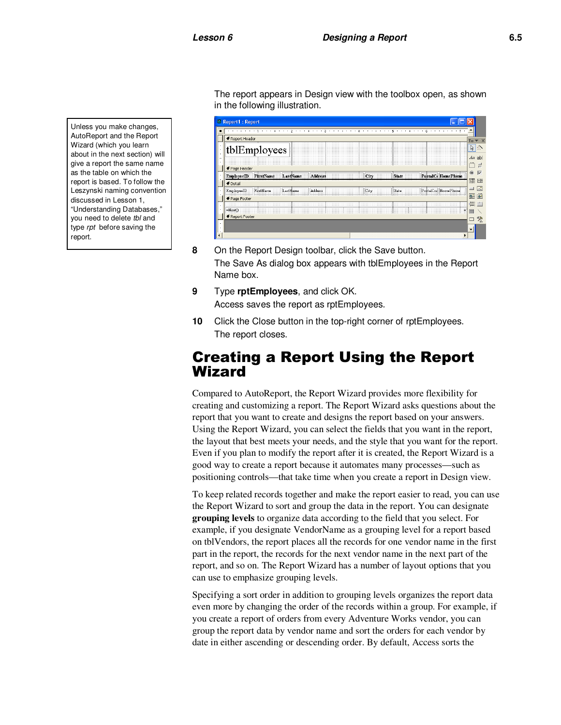Unless you make changes, AutoReport and the Report Wizard (which you learn about in the next section) will give a report the same name as the table on which the report is based. To follow the Leszynski naming convention discussed in Lesson 1, "Understanding Databases," you need to delete tbl and type rpt before saving the report.

The report appears in Design view with the toolbox open, as shown in the following illustration.

| <b>E</b> Report1 : Report                                                                        |                                |  |  |  |  |  |  |
|--------------------------------------------------------------------------------------------------|--------------------------------|--|--|--|--|--|--|
| ٠                                                                                                |                                |  |  |  |  |  |  |
| ← Report Header                                                                                  | $\bullet$ $\times$<br>To       |  |  |  |  |  |  |
| tblEmployees                                                                                     | ド                              |  |  |  |  |  |  |
|                                                                                                  | $A\alpha$ ab                   |  |  |  |  |  |  |
| ← Page Header                                                                                    | $=$                            |  |  |  |  |  |  |
| PostalC HomePhone<br>LastName<br><b>EmployeeID</b><br>FirstName<br>Address<br>State<br>City      | $\overline{\vee}$<br>$\bullet$ |  |  |  |  |  |  |
| <b>€</b> Detail                                                                                  | 国国                             |  |  |  |  |  |  |
| ame :::<br><b>HomePhone</b><br>EmployeeID.<br>FirstName<br>Address<br>LastN<br>City<br>PostalCod | <b>A</b><br>⊐                  |  |  |  |  |  |  |
| ← Page Footer                                                                                    | 船踏                             |  |  |  |  |  |  |
|                                                                                                  | 信 門                            |  |  |  |  |  |  |
| =NowO                                                                                            | E                              |  |  |  |  |  |  |
| € Report Footer                                                                                  | 癸<br>$\Box$                    |  |  |  |  |  |  |
|                                                                                                  |                                |  |  |  |  |  |  |
|                                                                                                  |                                |  |  |  |  |  |  |
|                                                                                                  |                                |  |  |  |  |  |  |

- **8** On the Report Design toolbar, click the Save button. The Save As dialog box appears with tblEmployees in the Report Name box.
- **9** Type **rptEmployees**, and click OK. Access saves the report as rptEmployees.
- **10** Click the Close button in the top-right corner of rptEmployees. The report closes.

#### Creating a Report Using the Report Wizard

Compared to AutoReport, the Report Wizard provides more flexibility for creating and customizing a report. The Report Wizard asks questions about the report that you want to create and designs the report based on your answers. Using the Report Wizard, you can select the fields that you want in the report, the layout that best meets your needs, and the style that you want for the report. Even if you plan to modify the report after it is created, the Report Wizard is a good way to create a report because it automates many processes—such as positioning controls—that take time when you create a report in Design view.

To keep related records together and make the report easier to read, you can use the Report Wizard to sort and group the data in the report. You can designate **grouping levels** to organize data according to the field that you select. For example, if you designate VendorName as a grouping level for a report based on tblVendors, the report places all the records for one vendor name in the first part in the report, the records for the next vendor name in the next part of the report, and so on. The Report Wizard has a number of layout options that you can use to emphasize grouping levels.

Specifying a sort order in addition to grouping levels organizes the report data even more by changing the order of the records within a group. For example, if you create a report of orders from every Adventure Works vendor, you can group the report data by vendor name and sort the orders for each vendor by date in either ascending or descending order. By default, Access sorts the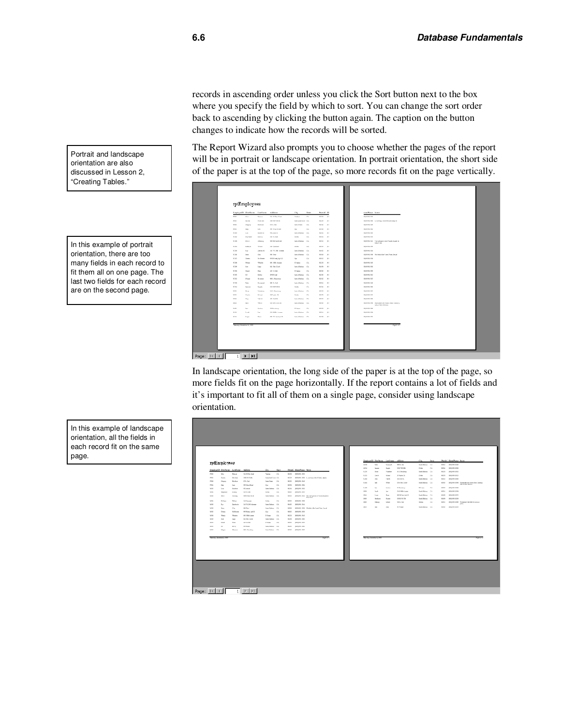records in ascending order unless you click the Sort button next to the box where you specify the field by which to sort. You can change the sort order back to ascending by clicking the button again. The caption on the button changes to indicate how the records will be sorted.

The Report Wizard also prompts you to choose whether the pages of the report will be in portrait or landscape orientation. In portrait orientation, the short side of the paper is at the top of the page, so more records fit on the page vertically.

|                   |                 | Ropkywill Hochage Lachage | Address                              | City                                 | Stata          | Posteic: In      |                         | new Power News                                                              |
|-------------------|-----------------|---------------------------|--------------------------------------|--------------------------------------|----------------|------------------|-------------------------|-----------------------------------------------------------------------------|
| <b>Note</b>       | $V_{\text{NN}}$ | <b>Beauty</b>             | <b>Jot K.Day Coast</b>               | Verban.                              | $\mathbb{Z} A$ | <b>NO IN</b>     | $\mathbb{R}^n$          | <b>DOMESTIC</b>                                                             |
| PRIG              | <b>Service</b>  | Wakate                    | 2011/07/08 06:                       | <b>Band pland Corp. CA.</b>          |                | 902.28           | $\mathbb{R}^n$          | 1050 HALTITE A. mar long a relate Manden, slegs on                          |
| <b>PRIGHT</b>     | Despite         | Endnum                    | <b>121.04</b>                        | <b>Senior Product</b>                | DA.            | 92.92            | $\mathbf{B}$            | 120-910-310-01                                                              |
| <b>PRINT</b>      | <b>Tele</b>     | Let.                      | <b>SIX March Breed</b>               | $D_{\text{eff}}$                     | DA:            | <b>KOLUS</b>     | $\mathbf{B}$            | <b><i>DEAM RAIL</i></b>                                                     |
| MONT              | Low.            | <b>Bandor &amp;</b>       | <b>Millengel at</b>                  | <b>Sand a Highway</b>                | DA:            | WO Ist           | $^{18}$                 | <b>SHARALTEN</b>                                                            |
| Maria             | If y have       | Daniel Ave.               | 128 N.D.A.                           | Dalebi                               | DA.            | <b>NEL IO</b>    | $\mathbf{H}$            | 100410-0102                                                                 |
| Mass.             | <b>Here</b>     | 63mm ex                   | 1978 E.Wayn 12 and                   | Indulted and IA                      |                | <b>WAT ICO</b>   | 181                     | USEILESS Top salespace and Vansion planet on<br>$X \in \mathcal{R}$ and $X$ |
| Milled            | Eale pr         | When                      | 249 System M                         | Delete                               | DA.            | $821$ III        | 341                     | 105410-2109                                                                 |
| M'200             | has.            | <b>Zantardo</b>           | 245 W.205 Arrest                     | <b>Bank a Husbann E.A.</b>           |                | 854.82           | 181                     | <b>USA MAILAN</b>                                                           |
| M200              | <b>Seve</b>     | <b>Char</b>               | <b>THE PAGE</b>                      | Soul a Horborn CA                    |                | <b>WOR SIX</b>   | $\mathbb{R}^n$          | USA HALLINE Victorial for 7 and 7 perchant                                  |
| March 1           | Down a          | No Museum                 | $W$ Well and, $\delta \phi$ ( 20)    | Due                                  | DA.            | 925.02           | $\mathbf{B}$            | 100410-0103                                                                 |
| M'208             | <b>Vest</b>     | <b>Wheeler</b>            | <b>BO BM Area</b>                    | 37 linews                            | EA             | 932.25           | $^{18}$                 | <b>USA MAINE</b>                                                            |
| MON               | box.            | Law                       | <b>BO Re Cade</b>                    | <b>Bank &amp; Highway</b> (24)       |                | Mid-Hill         | $\mathbb{R}^n$          | <b>DISPUTATION</b>                                                          |
| Mark              | <b>Plannel</b>  | Sept.                     | <b>CREAT</b>                         | 31 large                             | DA.            | <b>NEW CIT</b>   | $\mathbf{B}$            | 120-510-5100                                                                |
| M <sub>2</sub>    | $^{14}$         | Eatley                    | III Vol ed                           | Indu Holms DA                        |                | NO III           | <b>BI</b>               | 994 853 902                                                                 |
| M202              | <b>M'rona</b>   | <b>The most</b>           | <b>MIL. Read may</b>                 | <b>Bank a Husbann 17-5</b>           |                | NO <sub>10</sub> | $\mathbb{R}^n$          | <b>USA HALLING</b>                                                          |
| $M = 1$<br>Milled | Pelos           | For museum                | <b>WHI SC Dub</b><br><b>DESPERAL</b> | Sand a Husbane D.A.                  | DA.            | 928 04           | 81<br>$\sim$            | 105410-2140<br><b>DARALDON</b>                                              |
|                   | <b>Summer</b>   | <b>Negativ</b>            |                                      | Dateday.                             |                | 80M              |                         |                                                                             |
| 9,220<br>5,300    | No m<br>David a | Valent av<br>Pel and      | 141. Food our<br>20 Forder CA        | <b>Bank a Husbann</b> E.A.<br>Delete | DA.            | 49.24<br>928.29  | $^{18}$<br>$\mathbf{B}$ | <b>USA ISLETO</b><br>0549331022                                             |
| 3,250             | Day             | Value &                   | all the la-                          | India Holton DA                      |                | 932 132          | 381                     | DISTURBANCE                                                                 |
| 3,844             | <b>Ball</b>     | White                     | <b>STATE AND ARR</b>                 | <b>Bank a Husbann</b> E.M.           |                | was on           | $\mathbb{R}^n$          | USAWATH Databled with homes how Data as-                                    |
|                   |                 |                           |                                      |                                      |                |                  |                         | Ad to Thing Massey                                                          |
| 3.410             | <b>Sec.</b>     | <b>Subset</b>             | 20 November 1                        | 37 linews                            | DA:            | <b>NVL III</b>   | $\mathbb{R}^n$          | DOMESTIC                                                                    |
| <b>SHIP</b>       | Proofs          | <b>Lat</b>                | <b>EN ERRA Annual</b>                | <b>Bank a Husbann 17-5</b>           |                | was no           | $^{18}$                 | <b>SIGN BLA SIG</b>                                                         |
| \$9.04            | Samm.           | <b>Plum</b>               | 802 W. 2nd Ap L St                   | Seria Return 1994                    |                | <b>MACHE</b>     | $\mathbf{B}$            | DANIMALS INC.                                                               |

In landscape orientation, the long side of the paper is at the top of the page, so more fields fit on the page horizontally. If the report contains a lot of fields and it's important to fit all of them on a single page, consider using landscape orientation.

| rptEmployees<br><b>MILIN DA</b><br><b>Sale Salem 176</b><br>NOSA NOVANA SNA<br>No<br><b>Fourmant</b><br><b>COL VICEN</b><br>Delay<br><b>DA</b><br><b>ROAD ROADS, DIRE</b><br><b>MAG</b><br><b>Security</b><br>Negle<br>Rophyrilli FirstNess Lethere<br>Africans<br>Gm<br><b>State</b><br>Peral C Hera/Power Perzy<br><b>NUMBER</b><br>\$28<br>Store<br>14 L. Faradouy<br>Sale Sales 174<br><b>SOLU</b><br>Volunteer<br><b>PRIME</b><br>Min<br><b>Steven</b><br>201 K Kim Gred<br>Value 1<br><b>DATE</b><br><b>NOTE: NOVAN COST</b><br>28 Proplan E.S.<br>peany-term, group<br>8.332<br>Deale<br>Poland<br>Delay<br>C6<br><b>SECTION</b><br>2003/01/04<br><b>Septimal Corp. CA:</b><br>2012<br><b>Souths</b><br>Ma lose<br>\$520 [60500,000 S. we loop a law Market, days of<br>AT DATE<br>Sonic Holton DA<br><b>NUMBER</b> , STREET<br>3,284<br>Day<br><b>Yakob</b><br><b>MARKET</b><br>120,044<br><b>NOTE: NOTIFIES STAT</b><br>20123<br>Nahan<br>South Powder<br><b>DA</b><br>Desarro<br><b>BAH</b><br><b>Sale</b><br><b>White</b><br>Kills Re Carlo<br>Sada National City<br><b>Market</b><br>reno<br>bit.<br>ten.<br>100 May 18 ad<br>$D_{\text{corr}}$<br>EA<br>KING NOUNS STA<br>21 Blandmap<br>31 E ment<br>$-124$<br><b>Second</b><br>peoplem, grass<br>3,09<br>$\sim$<br><b>Subset</b><br><b>Hilanois</b><br><b>Sandy Highway</b><br>$-64$<br><b>MOTOR</b><br><b>BUILDING STAT</b><br>MAIL.<br>Louis<br><b>Instead</b><br><b>Dill White Avenue</b><br>Sale Nations 174<br>peoples, pres.<br><b>UNIT</b><br>Passed<br>ter.<br><b>Waller</b><br>WIND - DEVENIS, COM<br>M262<br><b>KINN DA</b><br>Delay<br><b>EA</b><br>Sigham<br>Green<br><b>PERMIT STO</b><br><b>Bags</b><br>Now.<br>WIS W.2nd April 31<br>Sank Nations 174<br>stern.<br><b>SHA</b><br><b>M203</b><br><b>Security</b><br>Ahome<br><b>Birth Mark Street</b><br><b>Santa National</b><br>$-0.4$<br><b>Northern</b><br>[000](000), 12142  They railed gra was all Vietnices Land on<br>KIND WITH<br><b>NUMBER</b> , SILM<br><b>SHO</b><br>Deplaces<br>Sada National City<br><b>MAGIN</b><br><b>Nowan</b><br><b>REAL PROPERTY AND</b><br>MOL0<br>Edbox<br><b>Shipped</b><br>249 Symmetry<br>Delay<br>E6<br>FIRE IS, Chab<br><b>SER</b><br><b>Hallman</b><br><b>School</b><br>DA.<br>ways.<br><b>Subuke</b><br>part to<br><b>MOWN</b><br><b>Junior</b> .h.<br>245 W.200 lo demand<br><b>Santa Holtons C.A.</b><br>\$500 Million Stat<br>No.<br>Sale Nations 174<br><b>NOW NOUNKLICK</b><br><b>Class</b><br><b>Hill Street</b><br><b>SEC</b><br><b>May</b><br>Hillston, USB Verbal of the Forest Parc, Laurel<br><b>Cha</b><br><b>Bill Pearl</b><br><b>NUMBER</b><br><b>M200</b><br><b>Banks Mathews</b><br><b>COL</b><br><b>Seus</b><br>MAN2<br>Middlewerk<br>RFWdeed, Apr 202<br>DA:<br><b>NORTH</b><br><b>NUMBER OF</b><br><b>Floored</b><br>$D\mu\mu$<br><b>SIG Stills Account</b><br>Si E sea<br>peoples, stud<br>SOM<br><b>Shedy</b><br><b>Wheeler</b><br>DA.<br><b>NGCHE</b><br><b>BO Re Carlo</b><br>som<br>Santa Nations (7.6)<br>85.019<br>peopless, grand<br><b>Doug</b><br><b>Lage</b><br>425.04<br>Si Lawer<br>tores.<br><b>STATE</b><br>peopless, press<br>Donald<br>Now.<br>DA.<br>M200<br>14<br>Ed at<br><b>STV-ind</b><br><b>Sank Robert CA</b><br><b>BUILT</b><br><b>NUMBER</b> STRO<br>MHZ<br>Sonic Holton (16)<br><b>BUILD - DEPLATE, STAT</b><br>Mone<br><b>Bank</b><br><b>BEL Faculture</b><br>the Greek C. I<br>he shot Domin U. III | $[0110,0101,11001]$ . Unadapt at such homos, how Universy.<br>$\label{eq:11} \text{rank } \mathcal{A} \text{ for } \text{Id} \text{ from } \text{Id} \text{ from } \mathcal{A}$<br>NUMBER CORP. The deal of Class Medite serve at |
|-------------------------------------------------------------------------------------------------------------------------------------------------------------------------------------------------------------------------------------------------------------------------------------------------------------------------------------------------------------------------------------------------------------------------------------------------------------------------------------------------------------------------------------------------------------------------------------------------------------------------------------------------------------------------------------------------------------------------------------------------------------------------------------------------------------------------------------------------------------------------------------------------------------------------------------------------------------------------------------------------------------------------------------------------------------------------------------------------------------------------------------------------------------------------------------------------------------------------------------------------------------------------------------------------------------------------------------------------------------------------------------------------------------------------------------------------------------------------------------------------------------------------------------------------------------------------------------------------------------------------------------------------------------------------------------------------------------------------------------------------------------------------------------------------------------------------------------------------------------------------------------------------------------------------------------------------------------------------------------------------------------------------------------------------------------------------------------------------------------------------------------------------------------------------------------------------------------------------------------------------------------------------------------------------------------------------------------------------------------------------------------------------------------------------------------------------------------------------------------------------------------------------------------------------------------------------------------------------------------------------------------------------------------------------------------------------------------------------------------------------------------------------------------------------------------------------------------------------------------------------------------------------------------------------------------------------------------------------------------------------------------------------------------------------------------------------------------------------------------------------------------------------------------------------------------------------------------------------------------------------------------------------------------------------------------------------------------------------------------------------------------------------------------------------------|-----------------------------------------------------------------------------------------------------------------------------------------------------------------------------------------------------------------------------------|
|                                                                                                                                                                                                                                                                                                                                                                                                                                                                                                                                                                                                                                                                                                                                                                                                                                                                                                                                                                                                                                                                                                                                                                                                                                                                                                                                                                                                                                                                                                                                                                                                                                                                                                                                                                                                                                                                                                                                                                                                                                                                                                                                                                                                                                                                                                                                                                                                                                                                                                                                                                                                                                                                                                                                                                                                                                                                                                                                                                                                                                                                                                                                                                                                                                                                                                                                                                                                                               |                                                                                                                                                                                                                                   |
|                                                                                                                                                                                                                                                                                                                                                                                                                                                                                                                                                                                                                                                                                                                                                                                                                                                                                                                                                                                                                                                                                                                                                                                                                                                                                                                                                                                                                                                                                                                                                                                                                                                                                                                                                                                                                                                                                                                                                                                                                                                                                                                                                                                                                                                                                                                                                                                                                                                                                                                                                                                                                                                                                                                                                                                                                                                                                                                                                                                                                                                                                                                                                                                                                                                                                                                                                                                                                               |                                                                                                                                                                                                                                   |
|                                                                                                                                                                                                                                                                                                                                                                                                                                                                                                                                                                                                                                                                                                                                                                                                                                                                                                                                                                                                                                                                                                                                                                                                                                                                                                                                                                                                                                                                                                                                                                                                                                                                                                                                                                                                                                                                                                                                                                                                                                                                                                                                                                                                                                                                                                                                                                                                                                                                                                                                                                                                                                                                                                                                                                                                                                                                                                                                                                                                                                                                                                                                                                                                                                                                                                                                                                                                                               |                                                                                                                                                                                                                                   |
|                                                                                                                                                                                                                                                                                                                                                                                                                                                                                                                                                                                                                                                                                                                                                                                                                                                                                                                                                                                                                                                                                                                                                                                                                                                                                                                                                                                                                                                                                                                                                                                                                                                                                                                                                                                                                                                                                                                                                                                                                                                                                                                                                                                                                                                                                                                                                                                                                                                                                                                                                                                                                                                                                                                                                                                                                                                                                                                                                                                                                                                                                                                                                                                                                                                                                                                                                                                                                               |                                                                                                                                                                                                                                   |
|                                                                                                                                                                                                                                                                                                                                                                                                                                                                                                                                                                                                                                                                                                                                                                                                                                                                                                                                                                                                                                                                                                                                                                                                                                                                                                                                                                                                                                                                                                                                                                                                                                                                                                                                                                                                                                                                                                                                                                                                                                                                                                                                                                                                                                                                                                                                                                                                                                                                                                                                                                                                                                                                                                                                                                                                                                                                                                                                                                                                                                                                                                                                                                                                                                                                                                                                                                                                                               |                                                                                                                                                                                                                                   |
|                                                                                                                                                                                                                                                                                                                                                                                                                                                                                                                                                                                                                                                                                                                                                                                                                                                                                                                                                                                                                                                                                                                                                                                                                                                                                                                                                                                                                                                                                                                                                                                                                                                                                                                                                                                                                                                                                                                                                                                                                                                                                                                                                                                                                                                                                                                                                                                                                                                                                                                                                                                                                                                                                                                                                                                                                                                                                                                                                                                                                                                                                                                                                                                                                                                                                                                                                                                                                               |                                                                                                                                                                                                                                   |
|                                                                                                                                                                                                                                                                                                                                                                                                                                                                                                                                                                                                                                                                                                                                                                                                                                                                                                                                                                                                                                                                                                                                                                                                                                                                                                                                                                                                                                                                                                                                                                                                                                                                                                                                                                                                                                                                                                                                                                                                                                                                                                                                                                                                                                                                                                                                                                                                                                                                                                                                                                                                                                                                                                                                                                                                                                                                                                                                                                                                                                                                                                                                                                                                                                                                                                                                                                                                                               |                                                                                                                                                                                                                                   |
|                                                                                                                                                                                                                                                                                                                                                                                                                                                                                                                                                                                                                                                                                                                                                                                                                                                                                                                                                                                                                                                                                                                                                                                                                                                                                                                                                                                                                                                                                                                                                                                                                                                                                                                                                                                                                                                                                                                                                                                                                                                                                                                                                                                                                                                                                                                                                                                                                                                                                                                                                                                                                                                                                                                                                                                                                                                                                                                                                                                                                                                                                                                                                                                                                                                                                                                                                                                                                               |                                                                                                                                                                                                                                   |
|                                                                                                                                                                                                                                                                                                                                                                                                                                                                                                                                                                                                                                                                                                                                                                                                                                                                                                                                                                                                                                                                                                                                                                                                                                                                                                                                                                                                                                                                                                                                                                                                                                                                                                                                                                                                                                                                                                                                                                                                                                                                                                                                                                                                                                                                                                                                                                                                                                                                                                                                                                                                                                                                                                                                                                                                                                                                                                                                                                                                                                                                                                                                                                                                                                                                                                                                                                                                                               |                                                                                                                                                                                                                                   |
|                                                                                                                                                                                                                                                                                                                                                                                                                                                                                                                                                                                                                                                                                                                                                                                                                                                                                                                                                                                                                                                                                                                                                                                                                                                                                                                                                                                                                                                                                                                                                                                                                                                                                                                                                                                                                                                                                                                                                                                                                                                                                                                                                                                                                                                                                                                                                                                                                                                                                                                                                                                                                                                                                                                                                                                                                                                                                                                                                                                                                                                                                                                                                                                                                                                                                                                                                                                                                               |                                                                                                                                                                                                                                   |
|                                                                                                                                                                                                                                                                                                                                                                                                                                                                                                                                                                                                                                                                                                                                                                                                                                                                                                                                                                                                                                                                                                                                                                                                                                                                                                                                                                                                                                                                                                                                                                                                                                                                                                                                                                                                                                                                                                                                                                                                                                                                                                                                                                                                                                                                                                                                                                                                                                                                                                                                                                                                                                                                                                                                                                                                                                                                                                                                                                                                                                                                                                                                                                                                                                                                                                                                                                                                                               |                                                                                                                                                                                                                                   |
|                                                                                                                                                                                                                                                                                                                                                                                                                                                                                                                                                                                                                                                                                                                                                                                                                                                                                                                                                                                                                                                                                                                                                                                                                                                                                                                                                                                                                                                                                                                                                                                                                                                                                                                                                                                                                                                                                                                                                                                                                                                                                                                                                                                                                                                                                                                                                                                                                                                                                                                                                                                                                                                                                                                                                                                                                                                                                                                                                                                                                                                                                                                                                                                                                                                                                                                                                                                                                               |                                                                                                                                                                                                                                   |
|                                                                                                                                                                                                                                                                                                                                                                                                                                                                                                                                                                                                                                                                                                                                                                                                                                                                                                                                                                                                                                                                                                                                                                                                                                                                                                                                                                                                                                                                                                                                                                                                                                                                                                                                                                                                                                                                                                                                                                                                                                                                                                                                                                                                                                                                                                                                                                                                                                                                                                                                                                                                                                                                                                                                                                                                                                                                                                                                                                                                                                                                                                                                                                                                                                                                                                                                                                                                                               |                                                                                                                                                                                                                                   |
|                                                                                                                                                                                                                                                                                                                                                                                                                                                                                                                                                                                                                                                                                                                                                                                                                                                                                                                                                                                                                                                                                                                                                                                                                                                                                                                                                                                                                                                                                                                                                                                                                                                                                                                                                                                                                                                                                                                                                                                                                                                                                                                                                                                                                                                                                                                                                                                                                                                                                                                                                                                                                                                                                                                                                                                                                                                                                                                                                                                                                                                                                                                                                                                                                                                                                                                                                                                                                               |                                                                                                                                                                                                                                   |
|                                                                                                                                                                                                                                                                                                                                                                                                                                                                                                                                                                                                                                                                                                                                                                                                                                                                                                                                                                                                                                                                                                                                                                                                                                                                                                                                                                                                                                                                                                                                                                                                                                                                                                                                                                                                                                                                                                                                                                                                                                                                                                                                                                                                                                                                                                                                                                                                                                                                                                                                                                                                                                                                                                                                                                                                                                                                                                                                                                                                                                                                                                                                                                                                                                                                                                                                                                                                                               |                                                                                                                                                                                                                                   |
|                                                                                                                                                                                                                                                                                                                                                                                                                                                                                                                                                                                                                                                                                                                                                                                                                                                                                                                                                                                                                                                                                                                                                                                                                                                                                                                                                                                                                                                                                                                                                                                                                                                                                                                                                                                                                                                                                                                                                                                                                                                                                                                                                                                                                                                                                                                                                                                                                                                                                                                                                                                                                                                                                                                                                                                                                                                                                                                                                                                                                                                                                                                                                                                                                                                                                                                                                                                                                               |                                                                                                                                                                                                                                   |
|                                                                                                                                                                                                                                                                                                                                                                                                                                                                                                                                                                                                                                                                                                                                                                                                                                                                                                                                                                                                                                                                                                                                                                                                                                                                                                                                                                                                                                                                                                                                                                                                                                                                                                                                                                                                                                                                                                                                                                                                                                                                                                                                                                                                                                                                                                                                                                                                                                                                                                                                                                                                                                                                                                                                                                                                                                                                                                                                                                                                                                                                                                                                                                                                                                                                                                                                                                                                                               |                                                                                                                                                                                                                                   |
|                                                                                                                                                                                                                                                                                                                                                                                                                                                                                                                                                                                                                                                                                                                                                                                                                                                                                                                                                                                                                                                                                                                                                                                                                                                                                                                                                                                                                                                                                                                                                                                                                                                                                                                                                                                                                                                                                                                                                                                                                                                                                                                                                                                                                                                                                                                                                                                                                                                                                                                                                                                                                                                                                                                                                                                                                                                                                                                                                                                                                                                                                                                                                                                                                                                                                                                                                                                                                               |                                                                                                                                                                                                                                   |
|                                                                                                                                                                                                                                                                                                                                                                                                                                                                                                                                                                                                                                                                                                                                                                                                                                                                                                                                                                                                                                                                                                                                                                                                                                                                                                                                                                                                                                                                                                                                                                                                                                                                                                                                                                                                                                                                                                                                                                                                                                                                                                                                                                                                                                                                                                                                                                                                                                                                                                                                                                                                                                                                                                                                                                                                                                                                                                                                                                                                                                                                                                                                                                                                                                                                                                                                                                                                                               |                                                                                                                                                                                                                                   |
|                                                                                                                                                                                                                                                                                                                                                                                                                                                                                                                                                                                                                                                                                                                                                                                                                                                                                                                                                                                                                                                                                                                                                                                                                                                                                                                                                                                                                                                                                                                                                                                                                                                                                                                                                                                                                                                                                                                                                                                                                                                                                                                                                                                                                                                                                                                                                                                                                                                                                                                                                                                                                                                                                                                                                                                                                                                                                                                                                                                                                                                                                                                                                                                                                                                                                                                                                                                                                               |                                                                                                                                                                                                                                   |
|                                                                                                                                                                                                                                                                                                                                                                                                                                                                                                                                                                                                                                                                                                                                                                                                                                                                                                                                                                                                                                                                                                                                                                                                                                                                                                                                                                                                                                                                                                                                                                                                                                                                                                                                                                                                                                                                                                                                                                                                                                                                                                                                                                                                                                                                                                                                                                                                                                                                                                                                                                                                                                                                                                                                                                                                                                                                                                                                                                                                                                                                                                                                                                                                                                                                                                                                                                                                                               |                                                                                                                                                                                                                                   |
|                                                                                                                                                                                                                                                                                                                                                                                                                                                                                                                                                                                                                                                                                                                                                                                                                                                                                                                                                                                                                                                                                                                                                                                                                                                                                                                                                                                                                                                                                                                                                                                                                                                                                                                                                                                                                                                                                                                                                                                                                                                                                                                                                                                                                                                                                                                                                                                                                                                                                                                                                                                                                                                                                                                                                                                                                                                                                                                                                                                                                                                                                                                                                                                                                                                                                                                                                                                                                               |                                                                                                                                                                                                                                   |

Portrait and landscape orientation are also discussed in Lesson 2, "Creating Tables."

In this example of portrait orientation, there are too many fields in each record to fit them all on one page. The last two fields for each record are on the second page.

In this example of landscape orientation, all the fields in each record fit on the same page.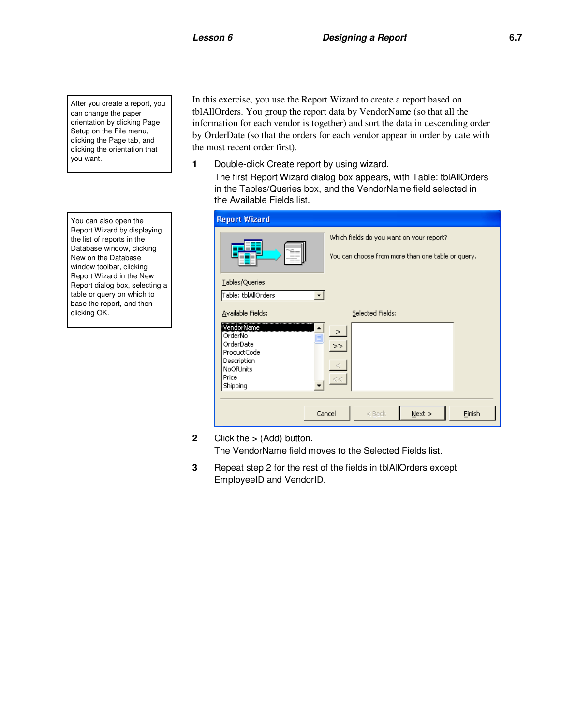After you create a report, you can change the paper orientation by clicking Page Setup on the File menu, clicking the Page tab, and clicking the orientation that you want.

You can also open the Report Wizard by displaying the list of reports in the Database window, clicking New on the Database window toolbar, clicking Report Wizard in the New Report dialog box, selecting a table or query on which to base the report, and then clicking OK.

In this exercise, you use the Report Wizard to create a report based on tblAllOrders. You group the report data by VendorName (so that all the information for each vendor is together) and sort the data in descending order by OrderDate (so that the orders for each vendor appear in order by date with the most recent order first).

**1** Double-click Create report by using wizard.

The first Report Wizard dialog box appears, with Table: tblAllOrders in the Tables/Queries box, and the VendorName field selected in the Available Fields list.

| <b>Report Wizard</b>                                                                                                    |                                                                                               |
|-------------------------------------------------------------------------------------------------------------------------|-----------------------------------------------------------------------------------------------|
| ∽≃<br><u>www.</u>                                                                                                       | Which fields do you want on your report?<br>You can choose from more than one table or query. |
| Tables/Queries<br>Table: tblAllOrders                                                                                   |                                                                                               |
| Available Fields:<br>VendorName<br>OrderNo<br>OrderDate<br>ProductCode<br>Description<br>NoOfUnits<br>Price<br>Shipping | Selected Fields:<br>$\mathbf{R}$<br>$\,>$<br><<                                               |
|                                                                                                                         | Cancel<br>Next<br>Finish<br>$<$ Back                                                          |

- **2** Click the > (Add) button. The VendorName field moves to the Selected Fields list.
- **3** Repeat step 2 for the rest of the fields in tblAllOrders except EmployeeID and VendorID.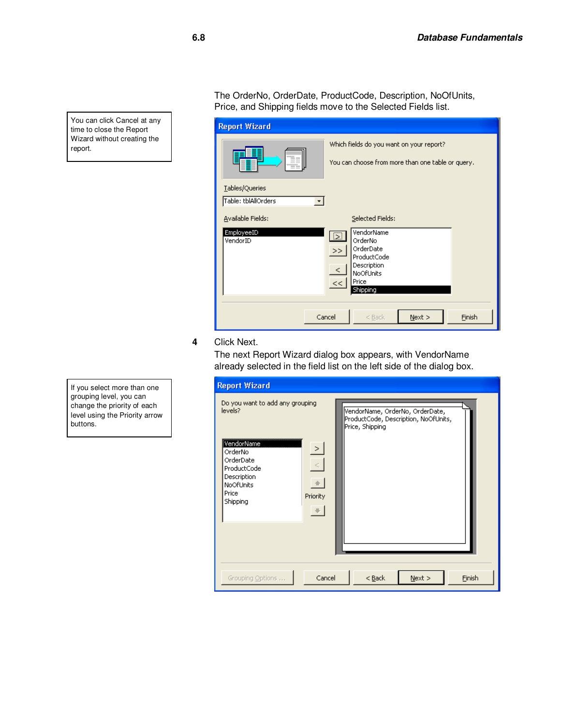You can click Cancel at any time to close the Report Wizard without creating the report.

The OrderNo, OrderDate, ProductCode, Description, NoOfUnits, Price, and Shipping fields move to the Selected Fields list.

| <b>Report Wizard</b>                       |                                                                                                                                                          |
|--------------------------------------------|----------------------------------------------------------------------------------------------------------------------------------------------------------|
| www<br>-m                                  | Which fields do you want on your report?<br>You can choose from more than one table or query.                                                            |
| Tables/Queries<br>Table: tblAllOrders<br>▼ |                                                                                                                                                          |
| Available Fields:                          | Selected Fields:                                                                                                                                         |
| EmployeeID<br>VendorID                     | VendorName<br>$\overline{\mathbb{Z}}$<br>OrderNo<br>OrderDate<br>$>>$<br>ProductCode<br>Description<br>$\langle$<br>NoOfUnits<br>Price<br><<<br>Shipping |
|                                            | Finish<br>Cancel<br>$N$ ext ><br>$<$ Back                                                                                                                |

**4** Click Next.

The next Report Wizard dialog box appears, with VendorName already selected in the field list on the left side of the dialog box.

| <b>Report Wizard</b>                                                                                                                                                            |                                                                                            |
|---------------------------------------------------------------------------------------------------------------------------------------------------------------------------------|--------------------------------------------------------------------------------------------|
| Do you want to add any grouping<br>levels?<br>VendorName<br>$\geq$<br>OrderNo<br>OrderDate<br>$\,<$<br>ProductCode<br>Description<br>NoOfUnits<br>Price<br>Priority<br>Shipping | VendorName, OrderNo, OrderDate,<br>ProductCode, Description, NoOfUnits,<br>Price, Shipping |
| Cancel<br>Grouping Options                                                                                                                                                      | $<$ Back<br>Next<br>Finish                                                                 |

If you select more than one grouping level, you can change the priority of each level using the Priority arrow buttons.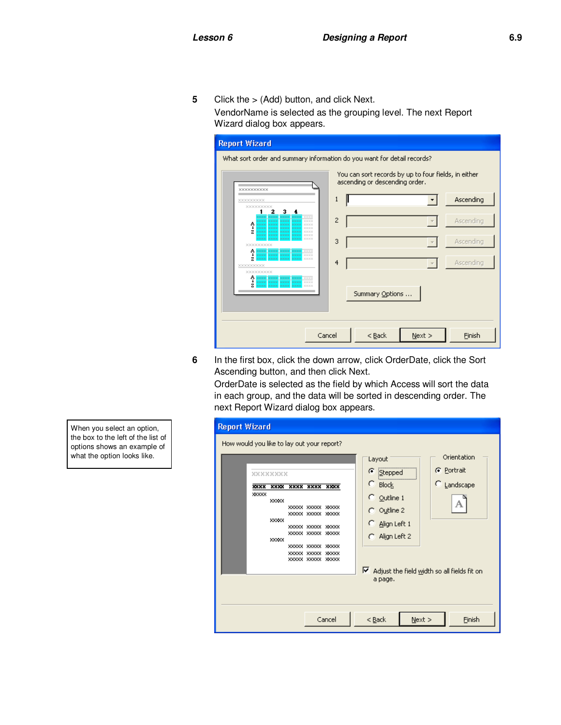**5** Click the > (Add) button, and click Next. VendorName is selected as the grouping level. The next Report Wizard dialog box appears.



**6** In the first box, click the down arrow, click OrderDate, click the Sort Ascending button, and then click Next.

OrderDate is selected as the field by which Access will sort the data in each group, and the data will be sorted in descending order. The next Report Wizard dialog box appears.

| <b>Report Wizard</b>                                                                                                                                                                                                                                                                                                           |                                                                                                                                                                                                                                                      |
|--------------------------------------------------------------------------------------------------------------------------------------------------------------------------------------------------------------------------------------------------------------------------------------------------------------------------------|------------------------------------------------------------------------------------------------------------------------------------------------------------------------------------------------------------------------------------------------------|
| How would you like to lay out your report?<br>XXXXXXXX<br>XXXX XXXX XXXX XXXX<br><b>XXXX</b><br><b>XXXXX</b><br>XXXXX<br><b>XXXXX XXXXX XXXXX</b><br>XXXXX XXXXX XXXXX<br>XXXXX<br><b>XXXXX XXXXX</b><br>2008080<br>XXXXX XXXXX XXXXX<br>XXXXX<br>XXXXX XXXXX<br>3000000<br>5000000<br>XXXXX XXXXX<br><b>XXXXX XXXXX XXXXX</b> | Orientation<br>Layout<br>C Portrait<br>C<br>Stepped<br>$\degree$ Landscape<br><b>Block</b><br>$\degree$ Outline 1<br>А<br>$\bigcap$ Outline 2<br>Align Left 1<br>С<br>C Align Left 2<br>R.<br>Adjust the field width so all fields fit on<br>a page. |
| Cancel                                                                                                                                                                                                                                                                                                                         | $<$ Back<br>Next<br>Finish                                                                                                                                                                                                                           |

When you select an option, the box to the left of the list of options shows an example of what the option looks like.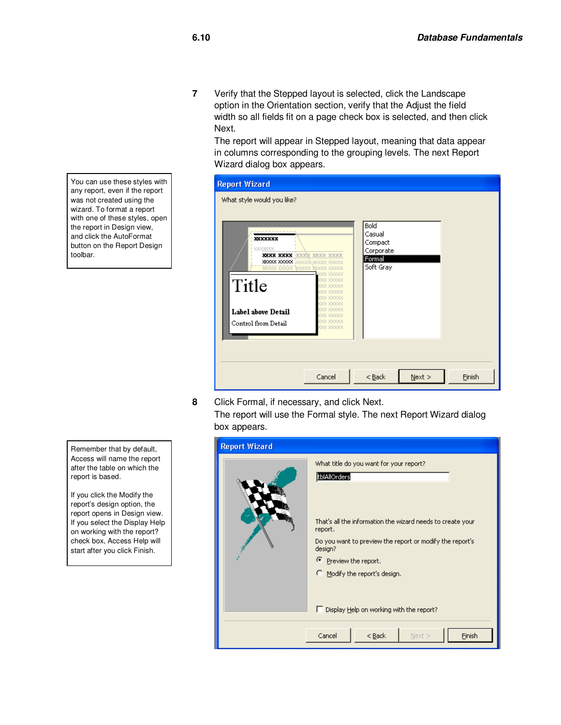**7** Verify that the Stepped layout is selected, click the Landscape option in the Orientation section, verify that the Adjust the field width so all fields fit on a page check box is selected, and then click Next.

The report will appear in Stepped layout, meaning that data appear in columns corresponding to the grouping levels. The next Report Wizard dialog box appears.

| жххххх              |                                                                                                      | Bold<br>Casual<br>Compact        |  |
|---------------------|------------------------------------------------------------------------------------------------------|----------------------------------|--|
| ******              | XXXX XXXX XXXX XXXX XXXX<br><b>XXXXX XXXXX</b> <i>XXXXXX XXXXXX XXXXX</i><br>xxxxx xxxxx xxxxx xxxxx | Corporate<br>Formal<br>Soft Gray |  |
| Title               | oo xxxxx<br>x xxxxx<br><b>XXXXXX</b><br><b>SSSSS&gt;</b><br>xxxxx<br>00000                           |                                  |  |
| Label above Detail  |                                                                                                      |                                  |  |
| Control from Detail | XXXXX<br>xx xxxxx                                                                                    |                                  |  |
|                     |                                                                                                      |                                  |  |

**8** Click Formal, if necessary, and click Next.

The report will use the Formal style. The next Report Wizard dialog box appears.

| <b>Report Wizard</b> |                                                                                                                                                                |
|----------------------|----------------------------------------------------------------------------------------------------------------------------------------------------------------|
|                      | What title do you want for your report?<br>tblAllOrders<br>That's all the information the wizard needs to create your                                          |
|                      | report.<br>Do you want to preview the report or modify the report's<br>design?<br><sup>6</sup> Preview the report.<br><sup>C</sup> Modify the report's design. |
|                      | □ Display Help on working with the report?<br>Finish<br>Cancel<br>$Back$<br>Next >                                                                             |

You can use these styles with any report, even if the report was not created using the wizard. To format a report with one of these styles, open the report in Design view, and click the AutoFormat button on the Report Design toolbar.

Remember that by default, Access will name the report after the table on which the report is based.

If you click the Modify the report's design option, the report opens in Design view. If you select the Display Help on working with the report? check box, Access Help will start after you click Finish.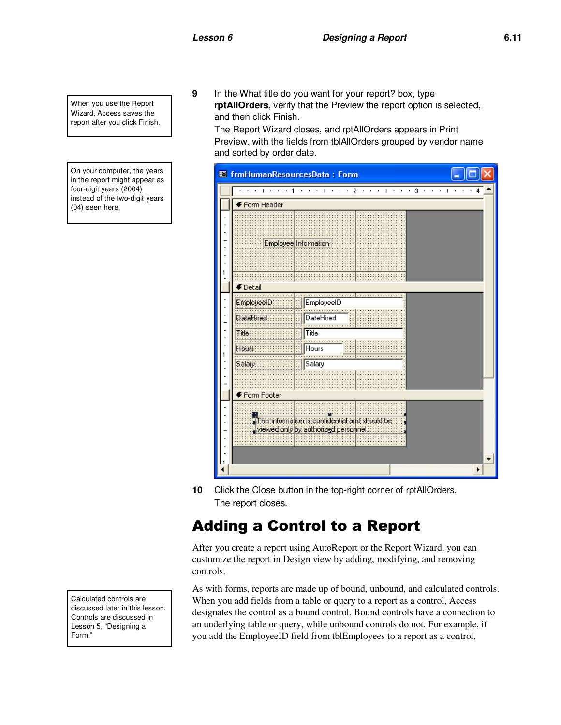When you use the Report Wizard, Access saves the report after you click Finish.

On your computer, the years in the report might appear as four-digit years (2004) instead of the two-digit years (04) seen here.

**9** In the What title do you want for your report? box, type **rptAllOrders**, verify that the Preview the report option is selected, and then click Finish.

The Report Wizard closes, and rptAllOrders appears in Print Preview, with the fields from tblAllOrders grouped by vendor name and sorted by order date.



**10** Click the Close button in the top-right corner of rptAllOrders. The report closes.

## Adding a Control to a Report

After you create a report using AutoReport or the Report Wizard, you can customize the report in Design view by adding, modifying, and removing controls.

As with forms, reports are made up of bound, unbound, and calculated controls. When you add fields from a table or query to a report as a control, Access designates the control as a bound control. Bound controls have a connection to an underlying table or query, while unbound controls do not. For example, if you add the EmployeeID field from tblEmployees to a report as a control,

Calculated controls are discussed later in this lesson. Controls are discussed in Lesson 5, "Designing a Form."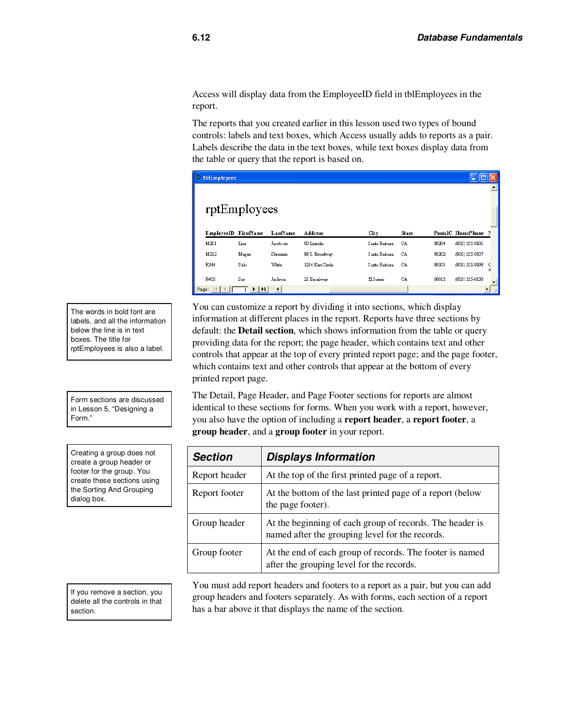Access will display data from the EmployeeID field in tblEmployees in the report.

The reports that you created earlier in this lesson used two types of bound controls: labels and text boxes, which Access usually adds to reports as a pair. Labels describe the data in the text boxes, while text boxes display data from the table or query that the report is based on.

| $\Box$ thlEmployees<br>rptEmployees |                   |                     |                 |               |       |       |                     |        |
|-------------------------------------|-------------------|---------------------|-----------------|---------------|-------|-------|---------------------|--------|
| EmployeeID FirstName                |                   | LastName            | <b>Address</b>  | City          | State |       | PostalC HomePhone P |        |
| M201                                | Lisa              | Jacobson            | 90 Lincoln      | Santa Basbara | CA    | 80204 | (805) 555-0101      |        |
| M212                                | Megan             | Sherman             | 88 S. Broadway  | Santa Bashara | CA    | 80202 | (805) 555-0107      |        |
| R344                                | Suki              | White               | 1214 Elm Circle | Santa Bashara | CA    | 80501 | (805) 555-0198      | G<br>A |
| R455                                | Sue               | Jackson             | 21 Broadway     | El Suero      | CA    | 80015 | (805) 555-0138      |        |
| Page: 1                             | H<br>$\mathbf{F}$ | $\vert \cdot \vert$ |                 |               |       |       |                     |        |

You can customize a report by dividing it into sections, which display information at different places in the report. Reports have three sections by default: the **Detail section**, which shows information from the table or query providing data for the report; the page header, which contains text and other controls that appear at the top of every printed report page; and the page footer, which contains text and other controls that appear at the bottom of every printed report page.

The Detail, Page Header, and Page Footer sections for reports are almost identical to these sections for forms. When you work with a report, however, you also have the option of including a **report header**, a **report footer**, a **group header**, and a **group footer** in your report.

| <b>Section</b> | <b>Displays Information</b>                                                                                 |
|----------------|-------------------------------------------------------------------------------------------------------------|
| Report header  | At the top of the first printed page of a report.                                                           |
| Report footer  | At the bottom of the last printed page of a report (below<br>the page footer).                              |
| Group header   | At the beginning of each group of records. The header is<br>named after the grouping level for the records. |
| Group footer   | At the end of each group of records. The footer is named<br>after the grouping level for the records.       |

You must add report headers and footers to a report as a pair, but you can add group headers and footers separately. As with forms, each section of a report has a bar above it that displays the name of the section.

The words in bold font are labels, and all the information below the line is in text boxes. The title for rptEmployees is also a label.

Form sections are discussed in Lesson 5, "Designing a Form."

Creating a group does not create a group header or footer for the group. You create these sections using the Sorting And Grouping dialog box.

If you remove a section, you delete all the controls in that section.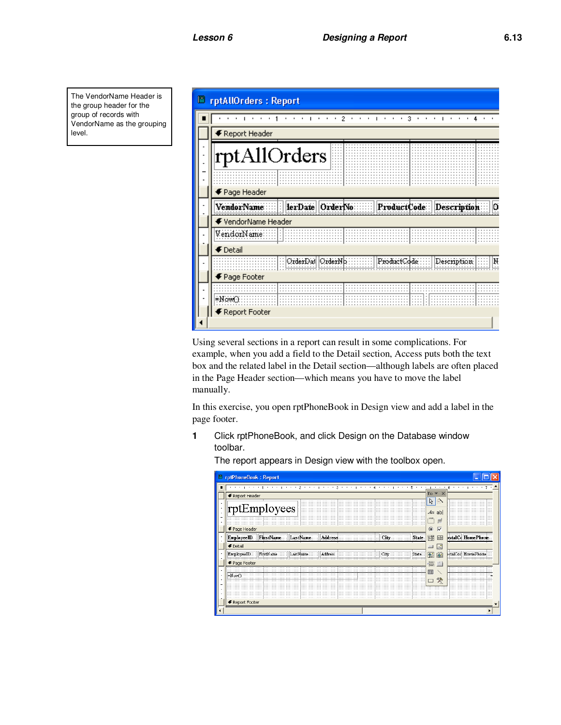The VendorName Header is the group header for the group of records with VendorName as the grouping level.



Using several sections in a report can result in some complications. For example, when you add a field to the Detail section, Access puts both the text box and the related label in the Detail section—although labels are often placed in the Page Header section—which means you have to move the label manually.

In this exercise, you open rptPhoneBook in Design view and add a label in the page footer.

**1** Click rptPhoneBook, and click Design on the Database window toolbar.

The report appears in Design view with the toolbox open.

|   | <b>E</b> rptPhoneBook: Report                                       |                                       |                        |
|---|---------------------------------------------------------------------|---------------------------------------|------------------------|
| п |                                                                     | $\sim$<br>$\mathbf{r}$                | <b>B F F F F F F F</b> |
|   | ← Report Header                                                     | $To \times \times$                    |                        |
|   |                                                                     | ß<br>Þ                                |                        |
|   | rptEmployees                                                        | $A\alpha$ ab                          |                        |
|   |                                                                     | $\mathbf{r}^{\text{xyz}}$<br>$\equiv$ |                        |
|   | ← Page Header                                                       | $\overline{\vee}$<br>$\circ$          |                        |
|   | EmployeeID FirstName<br>State<br>LastName<br><b>Address</b><br>City | 爾<br>围                                | bstalC HomePhone       |
|   | <b>€</b> Detail                                                     | Lå<br>$\Box$                          |                        |
|   | FirstName<br>Address<br>EmployeeID<br>State<br>LastName<br>City<br> | 船<br>躏                                | stalCoc HomePhone      |
|   | ← Page Footer                                                       | 信じ                                    |                        |
|   |                                                                     | EB                                    |                        |
|   | =NowO                                                               | 癸<br>−                                |                        |
|   |                                                                     |                                       |                        |
|   |                                                                     |                                       |                        |
|   | € Report Footer                                                     |                                       |                        |
|   |                                                                     |                                       |                        |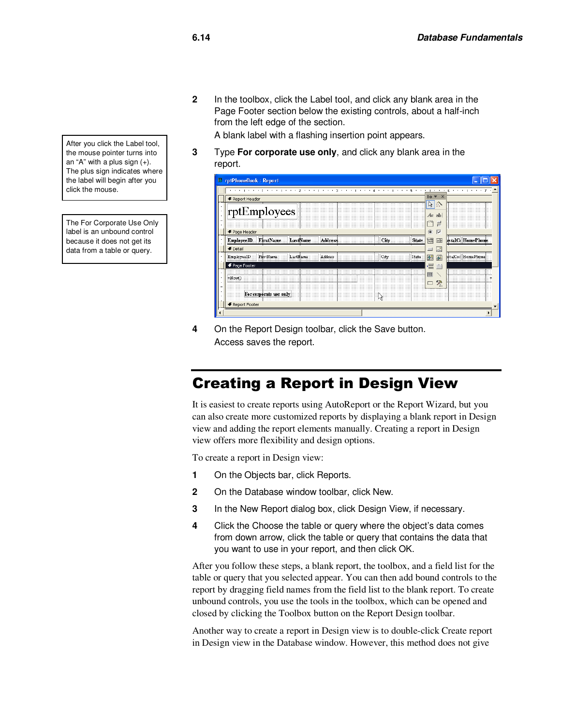**2** In the toolbox, click the Label tool, and click any blank area in the Page Footer section below the existing controls, about a half-inch from the left edge of the section.

A blank label with a flashing insertion point appears.

**3** Type **For corporate use only**, and click any blank area in the report.

|  | <b>E</b> rptPhoneBook: Report                                                        |                                       |                   |
|--|--------------------------------------------------------------------------------------|---------------------------------------|-------------------|
|  | <b>STATE STATE</b><br>$\cdot$                                                        | $\mathbf{L}$<br>$\cdot$               | $\cdots$          |
|  | € Report Header                                                                      | $\times$<br>$To \nightharpoondown$    |                   |
|  |                                                                                      | ピッ                                    |                   |
|  | rptEmployees                                                                         | $A\alpha$ abl                         |                   |
|  |                                                                                      | $\mathbf{r}^{\text{xyz}}$<br>$\equiv$ |                   |
|  | ← Page Header                                                                        | $\overline{\vee}$<br>$\bullet$        |                   |
|  | <b>EmployeeID</b><br>FirstName<br>LastName<br><b>Address</b><br><b>State</b><br>City |                                       | stalC HomePhone   |
|  |                                                                                      | 邼<br>日                                |                   |
|  | <b>€</b> Detail                                                                      | <b>A</b><br>⊐                         |                   |
|  | EmployeeID.<br>FirstName<br>LastName<br>Address<br>State<br>City                     | 鮉<br>躏                                | stalCor HomePhone |
|  | F Page Footer                                                                        | 畳じ                                    |                   |
|  |                                                                                      | EB                                    |                   |
|  | ≖Now                                                                                 | 癸                                     |                   |
|  |                                                                                      |                                       |                   |
|  | For corporate use only                                                               |                                       |                   |
|  | € Report Footer                                                                      |                                       |                   |
|  |                                                                                      |                                       |                   |
|  |                                                                                      |                                       |                   |

**4** On the Report Design toolbar, click the Save button. Access saves the report.

#### Creating a Report in Design View

It is easiest to create reports using AutoReport or the Report Wizard, but you can also create more customized reports by displaying a blank report in Design view and adding the report elements manually. Creating a report in Design view offers more flexibility and design options.

To create a report in Design view:

- **1** On the Objects bar, click Reports.
- **2** On the Database window toolbar, click New.
- **3** In the New Report dialog box, click Design View, if necessary.
- **4** Click the Choose the table or query where the object's data comes from down arrow, click the table or query that contains the data that you want to use in your report, and then click OK.

After you follow these steps, a blank report, the toolbox, and a field list for the table or query that you selected appear. You can then add bound controls to the report by dragging field names from the field list to the blank report. To create unbound controls, you use the tools in the toolbox, which can be opened and closed by clicking the Toolbox button on the Report Design toolbar.

Another way to create a report in Design view is to double-click Create report in Design view in the Database window. However, this method does not give

After you click the Label tool, the mouse pointer turns into an "A" with a plus sign  $(+)$ . The plus sign indicates where the label will begin after you click the mouse.

The For Corporate Use Only label is an unbound control because it does not get its data from a table or query.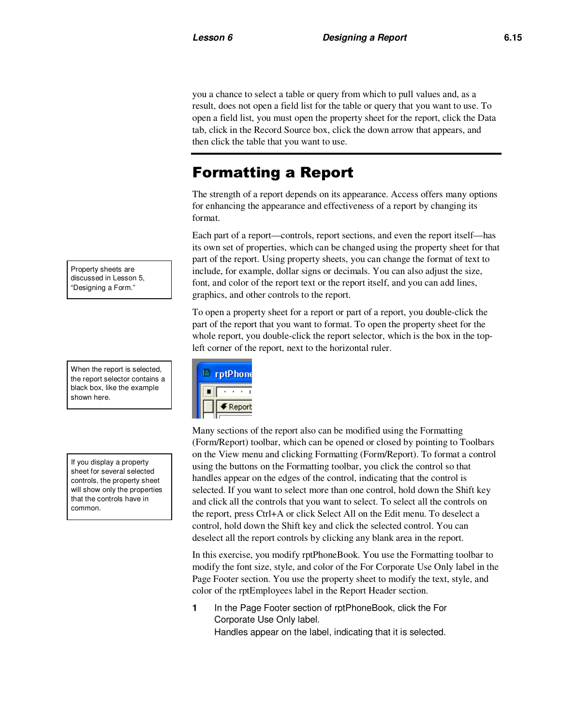you a chance to select a table or query from which to pull values and, as a result, does not open a field list for the table or query that you want to use. To open a field list, you must open the property sheet for the report, click the Data tab, click in the Record Source box, click the down arrow that appears, and then click the table that you want to use.

## Formatting a Report

The strength of a report depends on its appearance. Access offers many options for enhancing the appearance and effectiveness of a report by changing its format.

Each part of a report—controls, report sections, and even the report itself—has its own set of properties, which can be changed using the property sheet for that part of the report. Using property sheets, you can change the format of text to include, for example, dollar signs or decimals. You can also adjust the size, font, and color of the report text or the report itself, and you can add lines, graphics, and other controls to the report.

To open a property sheet for a report or part of a report, you double-click the part of the report that you want to format. To open the property sheet for the whole report, you double-click the report selector, which is the box in the topleft corner of the report, next to the horizontal ruler.



Many sections of the report also can be modified using the Formatting (Form/Report) toolbar, which can be opened or closed by pointing to Toolbars on the View menu and clicking Formatting (Form/Report). To format a control using the buttons on the Formatting toolbar, you click the control so that handles appear on the edges of the control, indicating that the control is selected. If you want to select more than one control, hold down the Shift key and click all the controls that you want to select. To select all the controls on the report, press Ctrl+A or click Select All on the Edit menu. To deselect a control, hold down the Shift key and click the selected control. You can deselect all the report controls by clicking any blank area in the report.

In this exercise, you modify rptPhoneBook. You use the Formatting toolbar to modify the font size, style, and color of the For Corporate Use Only label in the Page Footer section. You use the property sheet to modify the text, style, and color of the rptEmployees label in the Report Header section.

**1** In the Page Footer section of rptPhoneBook, click the For Corporate Use Only label. Handles appear on the label, indicating that it is selected.

Property sheets are discussed in Lesson 5, "Designing a Form."

When the report is selected, the report selector contains a black box, like the example shown here.

If you display a property sheet for several selected controls, the property sheet will show only the properties that the controls have in common.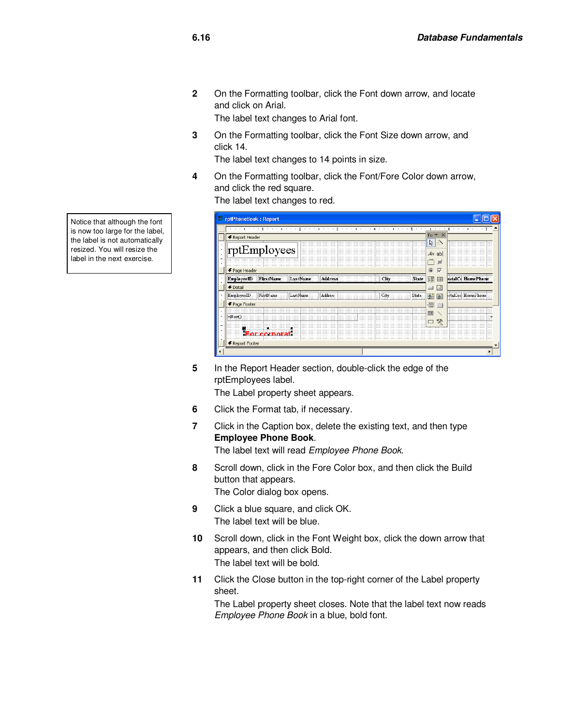**2** On the Formatting toolbar, click the Font down arrow, and locate and click on Arial.

The label text changes to Arial font.

**3** On the Formatting toolbar, click the Font Size down arrow, and click 14.

The label text changes to 14 points in size.

**4** On the Formatting toolbar, click the Font/Fore Color down arrow, and click the red square.

The label text changes to red.

| <b>E</b> rptPhoneBook: Report                                                 |                                     |                                        |
|-------------------------------------------------------------------------------|-------------------------------------|----------------------------------------|
| .                                                                             | ٠.                                  | $-1$ , $-1$ , $-1$ , $-1$ , $-1$<br>6. |
| ← Report Header                                                               | $To \times \times$                  |                                        |
|                                                                               | ウジ                                  |                                        |
| $\vert$ rptEmployees                                                          | $A\alpha$ ab                        |                                        |
|                                                                               | 른                                   |                                        |
| ← Page Header                                                                 | $\overline{\vee}$<br>$\circledcirc$ |                                        |
| LastName<br>FirstName<br><b>State</b><br><b>EmployeeID</b><br>Address<br>City | 丽<br>EB                             | bstalC HomePhone                       |
| $\blacklozenge$ Detail                                                        | ß<br>$\blacksquare$                 |                                        |
| FirstName<br>Address<br>State:<br>EmployeeID.<br>LastN                        | 圈<br>醹                              | stalCor HomePhone                      |
| ← Page Footer                                                                 | 眉口                                  |                                        |
| .                                                                             | 團                                   |                                        |
| *Nown                                                                         | 炵                                   |                                        |
|                                                                               |                                     |                                        |
| <b>Eor cornorat</b>                                                           |                                     |                                        |
| ← Report Footer                                                               |                                     |                                        |
|                                                                               |                                     |                                        |

**5** In the Report Header section, double-click the edge of the rptEmployees label.

The Label property sheet appears.

- **6** Click the Format tab, if necessary.
- **7** Click in the Caption box, delete the existing text, and then type **Employee Phone Book**.

The label text will read Employee Phone Book.

- **8** Scroll down, click in the Fore Color box, and then click the Build button that appears. The Color dialog box opens.
- **9** Click a blue square, and click OK. The label text will be blue.
- **10** Scroll down, click in the Font Weight box, click the down arrow that appears, and then click Bold. The label text will be bold.
- **11** Click the Close button in the top-right corner of the Label property sheet.

The Label property sheet closes. Note that the label text now reads Employee Phone Book in a blue, bold font.

Notice that although the font is now too large for the label, the label is not automatically resized. You will resize the label in the next exercise.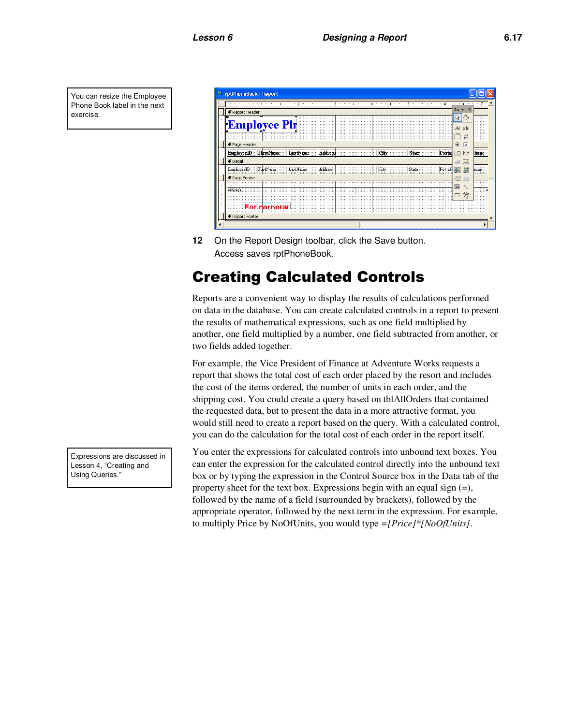You can resize the Employee Phone Book label in the next exercise.

| <b>E</b> rptPhoneBook: Report                                             |                              |       |
|---------------------------------------------------------------------------|------------------------------|-------|
|                                                                           |                              | 7     |
| ← Report Header                                                           | $\mathbf{x}$<br>$To -$       |       |
|                                                                           | ß<br>停                       |       |
| <b>Employee Ph</b>                                                        | $A\alpha$ ab                 |       |
|                                                                           | rXVZ <sub>1</sub><br>F       | m     |
| ← Page Header                                                             | $\overline{\vee}$<br>$\circ$ |       |
| LastName<br>FirstName<br>Address<br>State<br>Postal<br>EmployeeID<br>City | 丽<br>田                       | hone  |
| <b>€</b> Detail                                                           | ß<br>$\equiv$                |       |
| EmployeeID<br>Address<br>äme<br>FirstName<br>LastF<br>City                | 隨<br><b>Bell</b>             | ione  |
| ← Page Footer                                                             | 冒                            | 1.1.1 |
| *Now?                                                                     | B                            | ::::  |
|                                                                           | 癸<br>Τ                       |       |
| <b>For cornorat</b>                                                       |                              |       |
| € Report Footer                                                           |                              |       |
|                                                                           |                              |       |

**12** On the Report Design toolbar, click the Save button. Access saves rptPhoneBook.

# Creating Calculated Controls

Reports are a convenient way to display the results of calculations performed on data in the database. You can create calculated controls in a report to present the results of mathematical expressions, such as one field multiplied by another, one field multiplied by a number, one field subtracted from another, or two fields added together.

For example, the Vice President of Finance at Adventure Works requests a report that shows the total cost of each order placed by the resort and includes the cost of the items ordered, the number of units in each order, and the shipping cost. You could create a query based on tblAllOrders that contained the requested data, but to present the data in a more attractive format, you would still need to create a report based on the query. With a calculated control, you can do the calculation for the total cost of each order in the report itself.

You enter the expressions for calculated controls into unbound text boxes. You can enter the expression for the calculated control directly into the unbound text box or by typing the expression in the Control Source box in the Data tab of the property sheet for the text box. Expressions begin with an equal sign  $(=)$ , followed by the name of a field (surrounded by brackets), followed by the appropriate operator, followed by the next term in the expression. For example, to multiply Price by NoOfUnits, you would type *=[Price]\*[NoOfUnits]*.

Expressions are discussed in Lesson 4, "Creating and Using Queries."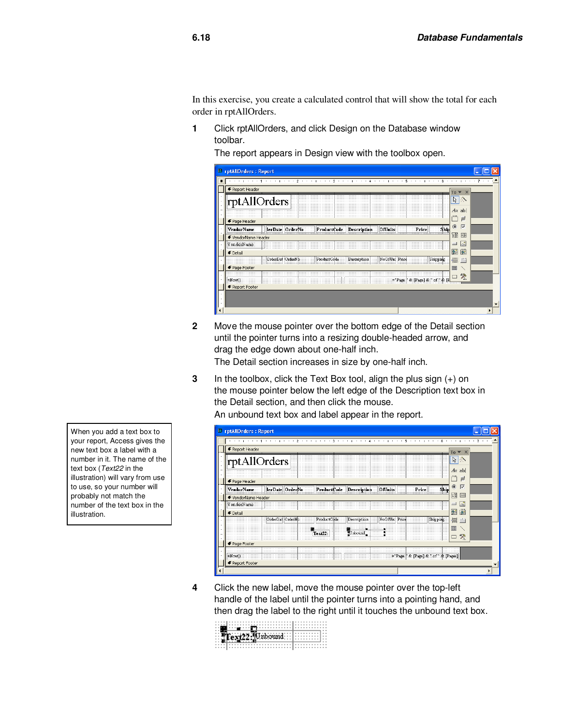In this exercise, you create a calculated control that will show the total for each order in rptAllOrders.

**1** Click rptAllOrders, and click Design on the Database window toolbar.

The report appears in Design view with the toolbox open.

| <b>E</b> rptAllOrders : Report                                                                        |                       |
|-------------------------------------------------------------------------------------------------------|-----------------------|
|                                                                                                       |                       |
| Report Header                                                                                         | $\times$<br>$To -$    |
| rptAllOrders                                                                                          | ピッ                    |
| .                                                                                                     | $A\alpha$ ab          |
| .<br>Fage Header                                                                                      | $r^{XYZ}$<br>$\equiv$ |
| Vendor Name<br>ProductCode Description<br>lerDate OrderNo<br><b>Frice</b><br>⊞∷shop<br><b>OfUnits</b> | $\odot$<br>▽          |
| ← VendorName Header                                                                                   | 邼<br>国                |
| VendorName                                                                                            | $\sim$<br>⊐           |
| <b>€</b> Detail                                                                                       | 隨<br>酹                |
| Shipping:<br>ProductCode ::::<br>Description<br>OrderDal OrderNh<br>NoOfUn Price<br>.<br>.            | 冒                     |
| ← Page Footer                                                                                         | E                     |
| ::::::::::::::::::::::::Page<br>※ PageT※ Lof  ※ 圧                                                     | 癸<br>−                |
| $=Mow()$<br>← Report Footer                                                                           |                       |
|                                                                                                       |                       |
|                                                                                                       |                       |
|                                                                                                       |                       |

**2** Move the mouse pointer over the bottom edge of the Detail section until the pointer turns into a resizing double-headed arrow, and drag the edge down about one-half inch.

The Detail section increases in size by one-half inch.

**3** In the toolbox, click the Text Box tool, align the plus sign (+) on the mouse pointer below the left edge of the Description text box in the Detail section, and then click the mouse.

An unbound text box and label appear in the report.

| <b>D</b> rptAllOrders: Report                                                                                                                                                                                                                                                                                                                                                                                                                                                                                                                                                            |                            |
|------------------------------------------------------------------------------------------------------------------------------------------------------------------------------------------------------------------------------------------------------------------------------------------------------------------------------------------------------------------------------------------------------------------------------------------------------------------------------------------------------------------------------------------------------------------------------------------|----------------------------|
|                                                                                                                                                                                                                                                                                                                                                                                                                                                                                                                                                                                          | $7 + 1$                    |
| ← Report Header                                                                                                                                                                                                                                                                                                                                                                                                                                                                                                                                                                          | $To \blacktriangleright x$ |
| rptAllOrders                                                                                                                                                                                                                                                                                                                                                                                                                                                                                                                                                                             | クッ                         |
| $r^{\chi \psi} z_1$<br>€ Page Header                                                                                                                                                                                                                                                                                                                                                                                                                                                                                                                                                     | $A\alpha$ ab<br>F          |
| $\odot$<br><b>VendorName</b><br><b>ProductCode</b><br>∷ Ship<br><b>Description</b><br>lerDate OrderNo<br>Frice<br>OfUnits                                                                                                                                                                                                                                                                                                                                                                                                                                                                | $\overline{\vee}$          |
| 匪<br>€ VendorName Header<br>VendorName:<br>$\equiv$                                                                                                                                                                                                                                                                                                                                                                                                                                                                                                                                      | EB<br>R                    |
| 船<br>$\blacklozenge$ Detail                                                                                                                                                                                                                                                                                                                                                                                                                                                                                                                                                              | 躏                          |
| OrderDal OrderNe<br>ProductCode<br>Description<br>NoOfUn Pric<br>Shipping<br>畳<br><b>FB</b><br>$\begin{tabular}{ c c c } \hline \multicolumn{1}{ c }{ \multicolumn{1}{c }{ \multicolumn{1}{c }{ \multicolumn{1}{c }{ \multicolumn{1}{c }{ \multicolumn{1}{c }{ \multicolumn{1}{c }{ \multicolumn{1}{c }{ \multicolumn{1}{c }{ \multicolumn{1}{c }{ \multicolumn{1}{c }{ \multicolumn{1}{c }{ \multicolumn{1}{c }{ \multicolumn{1}{c }{ \multicolumn{1}{c }{ \multicolumn{1}{c }{ \multicolumn{1}{c }{ \multicolumn{1}{c }{ \multicolumn{1}{c }{ \multicolumn{1}{c }{ \mult$<br>$Tex22$ : | m<br>癸                     |
| ← Page Footer                                                                                                                                                                                                                                                                                                                                                                                                                                                                                                                                                                            |                            |
| =NowO:<br>← Report Footer                                                                                                                                                                                                                                                                                                                                                                                                                                                                                                                                                                |                            |
|                                                                                                                                                                                                                                                                                                                                                                                                                                                                                                                                                                                          |                            |

**4** Click the new label, move the mouse pointer over the top-left handle of the label until the pointer turns into a pointing hand, and then drag the label to the right until it touches the unbound text box.

| Text <sup>22</sup> Unbound |  |
|----------------------------|--|
|                            |  |
|                            |  |
|                            |  |

When you add a text box to your report, Access gives the new text box a label with a number in it. The name of the text box (Text22 in the illustration) will vary from use to use, so your number will probably not match the number of the text box in the illustration.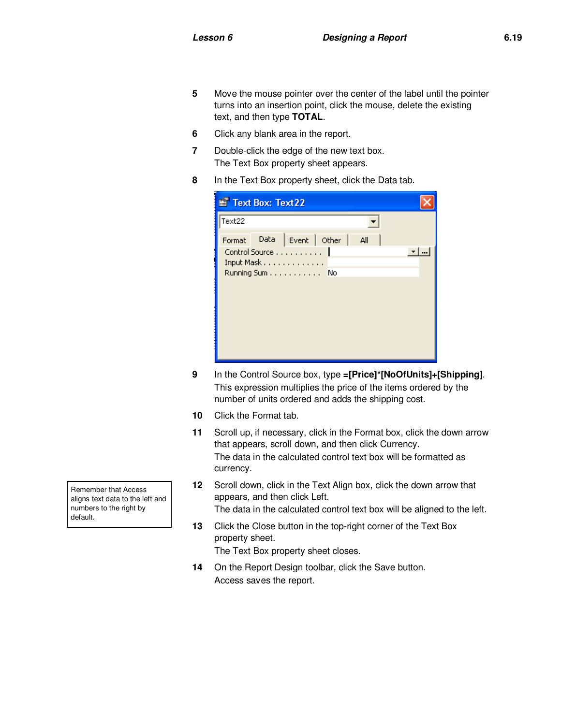- **5** Move the mouse pointer over the center of the label until the pointer turns into an insertion point, click the mouse, delete the existing text, and then type **TOTAL**.
- **6** Click any blank area in the report.
- **7** Double-click the edge of the new text box. The Text Box property sheet appears.
- **8** In the Text Box property sheet, click the Data tab.

| Text Box: Text 22 |      |                                                  |  |     |  |
|-------------------|------|--------------------------------------------------|--|-----|--|
| Text22            |      |                                                  |  |     |  |
| Format            | Data | Event Other                                      |  | All |  |
|                   |      | Control Source 1<br>Input Mask<br>Running Sum No |  |     |  |

- **9** In the Control Source box, type **=[Price]\*[NoOfUnits]+[Shipping]**. This expression multiplies the price of the items ordered by the number of units ordered and adds the shipping cost.
- **10** Click the Format tab.
- **11** Scroll up, if necessary, click in the Format box, click the down arrow that appears, scroll down, and then click Currency. The data in the calculated control text box will be formatted as currency.
- **12** Scroll down, click in the Text Align box, click the down arrow that appears, and then click Left.
	- The data in the calculated control text box will be aligned to the left.
- **13** Click the Close button in the top-right corner of the Text Box property sheet.
	- The Text Box property sheet closes.
- **14** On the Report Design toolbar, click the Save button. Access saves the report.

Remember that Access aligns text data to the left and numbers to the right by default.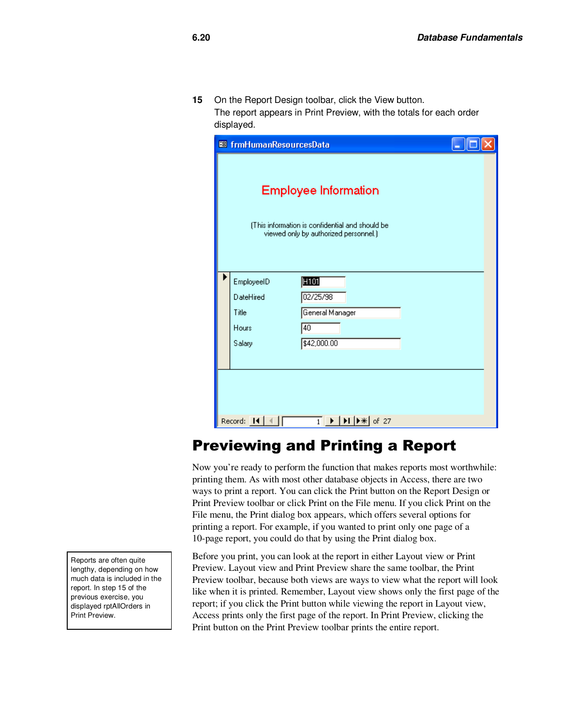**15** On the Report Design toolbar, click the View button. The report appears in Print Preview, with the totals for each order displayed.

| <b>88</b> frmHumanResourcesData                                                                                                                              |                                                                                                                         |  |  |  |  |  |  |
|--------------------------------------------------------------------------------------------------------------------------------------------------------------|-------------------------------------------------------------------------------------------------------------------------|--|--|--|--|--|--|
|                                                                                                                                                              | <b>Employee Information</b><br>(This information is confidential and should be<br>viewed only by authorized personnel.) |  |  |  |  |  |  |
| EmployeeID                                                                                                                                                   | H <sub>101</sub>                                                                                                        |  |  |  |  |  |  |
| DateHired                                                                                                                                                    | 02/25/98                                                                                                                |  |  |  |  |  |  |
| Title                                                                                                                                                        | General Manager                                                                                                         |  |  |  |  |  |  |
| Hours                                                                                                                                                        | 40                                                                                                                      |  |  |  |  |  |  |
| Salary                                                                                                                                                       | \$42,000.00                                                                                                             |  |  |  |  |  |  |
|                                                                                                                                                              |                                                                                                                         |  |  |  |  |  |  |
|                                                                                                                                                              |                                                                                                                         |  |  |  |  |  |  |
|                                                                                                                                                              |                                                                                                                         |  |  |  |  |  |  |
|                                                                                                                                                              |                                                                                                                         |  |  |  |  |  |  |
| $\overline{1}$ $\blacktriangleright$ $\blacktriangleright$ $\blacktriangleright$ $\blacktriangleright$ $\blacktriangleright$ $\parallel$ of 27<br>Record: 14 |                                                                                                                         |  |  |  |  |  |  |

## Previewing and Printing a Report

Now you're ready to perform the function that makes reports most worthwhile: printing them. As with most other database objects in Access, there are two ways to print a report. You can click the Print button on the Report Design or Print Preview toolbar or click Print on the File menu. If you click Print on the File menu, the Print dialog box appears, which offers several options for printing a report. For example, if you wanted to print only one page of a 10-page report, you could do that by using the Print dialog box.

Before you print, you can look at the report in either Layout view or Print Preview. Layout view and Print Preview share the same toolbar, the Print Preview toolbar, because both views are ways to view what the report will look like when it is printed. Remember, Layout view shows only the first page of the report; if you click the Print button while viewing the report in Layout view, Access prints only the first page of the report. In Print Preview, clicking the Print button on the Print Preview toolbar prints the entire report.

Reports are often quite lengthy, depending on how much data is included in the report. In step 15 of the previous exercise, you displayed rptAllOrders in Print Preview.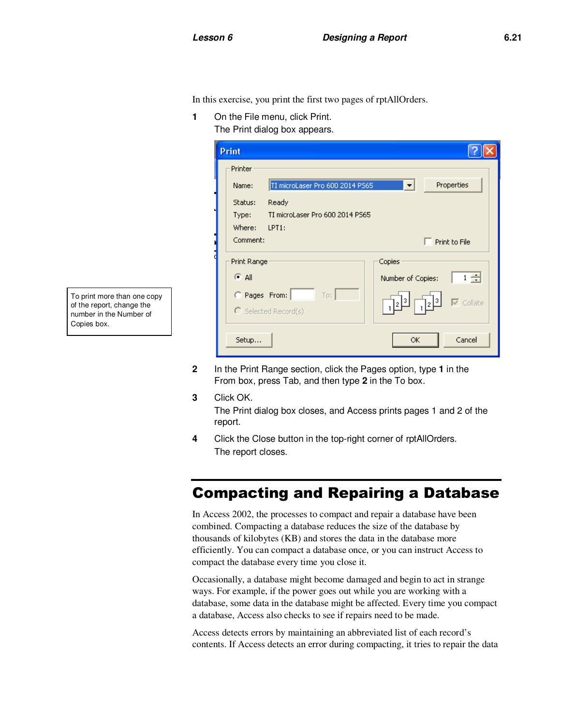In this exercise, you print the first two pages of rptAllOrders.

**1** On the File menu, click Print.

The Print dialog box appears.

| Print                                    |                                                           |  |  |
|------------------------------------------|-----------------------------------------------------------|--|--|
| Printer                                  |                                                           |  |  |
| TI microLaser Pro 600 2014 PS65<br>Name: | Properties<br>$\blacktriangledown$                        |  |  |
| Ready<br>Status:                         |                                                           |  |  |
| TI microLaser Pro 600 2014 PS65<br>Type: |                                                           |  |  |
| Where:<br>$LPT1$ :                       |                                                           |  |  |
| Comment:                                 | $\Box$ Print to File                                      |  |  |
| Print Range                              | Copies                                                    |  |  |
| $G$ All                                  | $1 -$<br>Number of Copies:                                |  |  |
| C Pages From:<br>To:                     |                                                           |  |  |
| $\bigcirc$ Selected Record(s)            | $\overline{\nabla}$ Collate<br>3<br>$\frac{13}{2}$<br>د 2 |  |  |
| Setup                                    | Cancel<br>ОК                                              |  |  |

- **2** In the Print Range section, click the Pages option, type **1** in the From box, press Tab, and then type **2** in the To box.
- **3** Click OK. The Print dialog box closes, and Access prints pages 1 and 2 of the report.
- **4** Click the Close button in the top-right corner of rptAllOrders. The report closes.

## Compacting and Repairing a Database

In Access 2002, the processes to compact and repair a database have been combined. Compacting a database reduces the size of the database by thousands of kilobytes (KB) and stores the data in the database more efficiently. You can compact a database once, or you can instruct Access to compact the database every time you close it.

Occasionally, a database might become damaged and begin to act in strange ways. For example, if the power goes out while you are working with a database, some data in the database might be affected. Every time you compact a database, Access also checks to see if repairs need to be made.

Access detects errors by maintaining an abbreviated list of each record's contents. If Access detects an error during compacting, it tries to repair the data

To print more than one copy of the report, change the number in the Number of Copies box.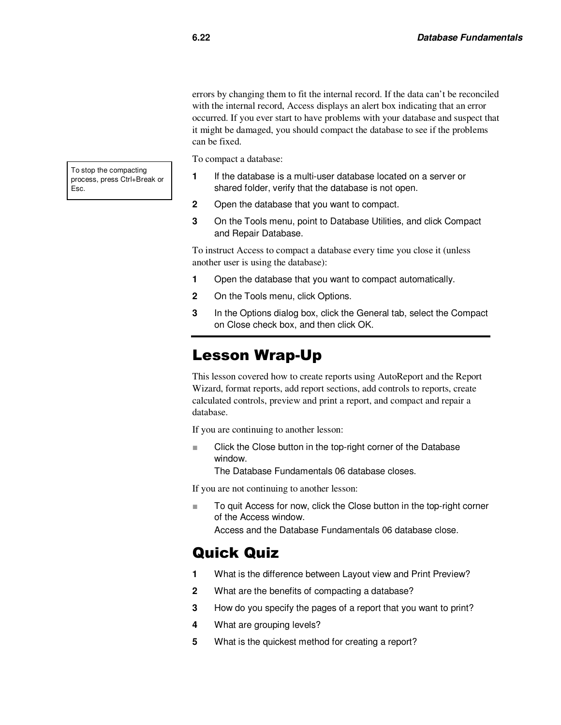errors by changing them to fit the internal record. If the data can't be reconciled with the internal record, Access displays an alert box indicating that an error occurred. If you ever start to have problems with your database and suspect that it might be damaged, you should compact the database to see if the problems can be fixed.

To compact a database:

- **1** If the database is a multi-user database located on a server or shared folder, verify that the database is not open.
- **2** Open the database that you want to compact.
- **3** On the Tools menu, point to Database Utilities, and click Compact and Repair Database.

To instruct Access to compact a database every time you close it (unless another user is using the database):

- **1** Open the database that you want to compact automatically.
- **2** On the Tools menu, click Options.
- **3** In the Options dialog box, click the General tab, select the Compact on Close check box, and then click OK.

#### Lesson Wrap-Up

This lesson covered how to create reports using AutoReport and the Report Wizard, format reports, add report sections, add controls to reports, create calculated controls, preview and print a report, and compact and repair a database.

If you are continuing to another lesson:

■ Click the Close button in the top-right corner of the Database window.

The Database Fundamentals 06 database closes.

If you are not continuing to another lesson:

■ To quit Access for now, click the Close button in the top-right corner of the Access window.

Access and the Database Fundamentals 06 database close.

#### Quick Quiz

- **1** What is the difference between Layout view and Print Preview?
- **2** What are the benefits of compacting a database?
- **3** How do you specify the pages of a report that you want to print?
- **4** What are grouping levels?
- **5** What is the quickest method for creating a report?

To stop the compacting process, press Ctrl+Break or Esc.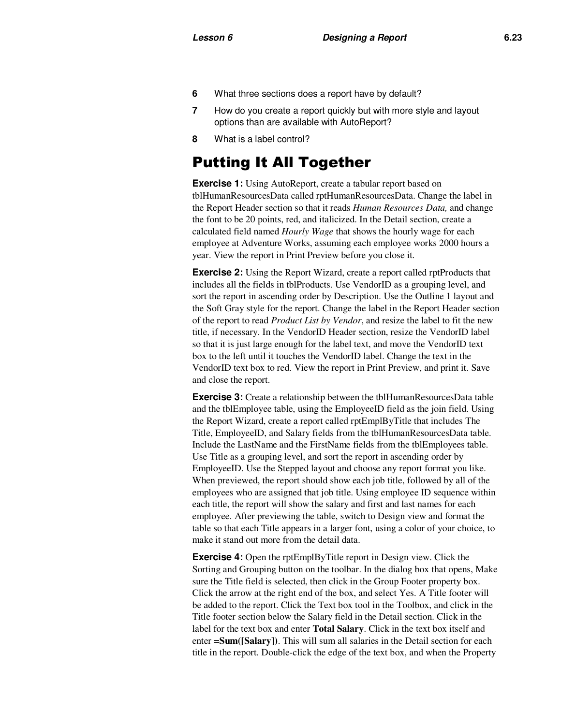- **6** What three sections does a report have by default?
- **7** How do you create a report quickly but with more style and layout options than are available with AutoReport?
- **8** What is a label control?

#### Putting It All Together

**Exercise 1:** Using AutoReport, create a tabular report based on tblHumanResourcesData called rptHumanResourcesData. Change the label in the Report Header section so that it reads *Human Resources Data,* and change the font to be 20 points, red, and italicized. In the Detail section, create a calculated field named *Hourly Wage* that shows the hourly wage for each employee at Adventure Works, assuming each employee works 2000 hours a year. View the report in Print Preview before you close it.

**Exercise 2:** Using the Report Wizard, create a report called rptProducts that includes all the fields in tblProducts. Use VendorID as a grouping level, and sort the report in ascending order by Description. Use the Outline 1 layout and the Soft Gray style for the report. Change the label in the Report Header section of the report to read *Product List by Vendor*, and resize the label to fit the new title, if necessary. In the VendorID Header section, resize the VendorID label so that it is just large enough for the label text, and move the VendorID text box to the left until it touches the VendorID label. Change the text in the VendorID text box to red. View the report in Print Preview, and print it. Save and close the report.

**Exercise 3:** Create a relationship between the tblHumanResourcesData table and the tblEmployee table, using the EmployeeID field as the join field. Using the Report Wizard, create a report called rptEmplByTitle that includes The Title, EmployeeID, and Salary fields from the tblHumanResourcesData table. Include the LastName and the FirstName fields from the tblEmployees table. Use Title as a grouping level, and sort the report in ascending order by EmployeeID. Use the Stepped layout and choose any report format you like. When previewed, the report should show each job title, followed by all of the employees who are assigned that job title. Using employee ID sequence within each title, the report will show the salary and first and last names for each employee. After previewing the table, switch to Design view and format the table so that each Title appears in a larger font, using a color of your choice, to make it stand out more from the detail data.

**Exercise 4:** Open the rptEmplByTitle report in Design view. Click the Sorting and Grouping button on the toolbar. In the dialog box that opens, Make sure the Title field is selected, then click in the Group Footer property box. Click the arrow at the right end of the box, and select Yes. A Title footer will be added to the report. Click the Text box tool in the Toolbox, and click in the Title footer section below the Salary field in the Detail section. Click in the label for the text box and enter **Total Salary**. Click in the text box itself and enter **=Sum([Salary])**. This will sum all salaries in the Detail section for each title in the report. Double-click the edge of the text box, and when the Property